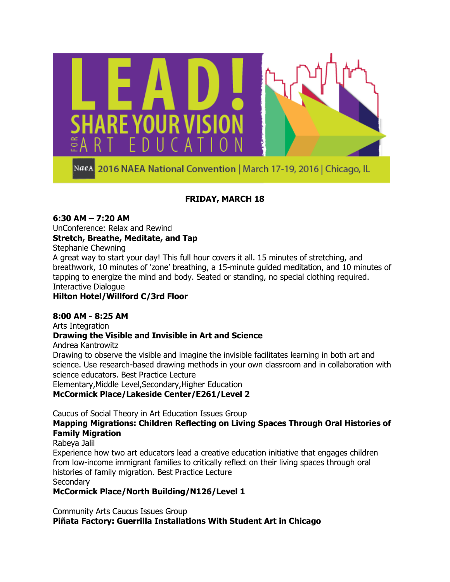

## **FRIDAY, MARCH 18**

### **6:30 AM – 7:20 AM**

UnConference: Relax and Rewind

### **Stretch, Breathe, Meditate, and Tap**

Stephanie Chewning

A great way to start your day! This full hour covers it all. 15 minutes of stretching, and breathwork, 10 minutes of 'zone' breathing, a 15-minute guided meditation, and 10 minutes of tapping to energize the mind and body. Seated or standing, no special clothing required. Interactive Dialogue

### **Hilton Hotel/Willford C/3rd Floor**

### **8:00 AM - 8:25 AM**

Arts Integration

### **Drawing the Visible and Invisible in Art and Science**

Andrea Kantrowitz

Drawing to observe the visible and imagine the invisible facilitates learning in both art and science. Use research-based drawing methods in your own classroom and in collaboration with science educators. Best Practice Lecture

Elementary,Middle Level,Secondary,Higher Education

#### **McCormick Place/Lakeside Center/E261/Level 2**

Caucus of Social Theory in Art Education Issues Group

### **Mapping Migrations: Children Reflecting on Living Spaces Through Oral Histories of Family Migration**

Rabeya Jalil

Experience how two art educators lead a creative education initiative that engages children from low-income immigrant families to critically reflect on their living spaces through oral histories of family migration. Best Practice Lecture **Secondary** 

### **McCormick Place/North Building/N126/Level 1**

Community Arts Caucus Issues Group **Piñata Factory: Guerrilla Installations With Student Art in Chicago**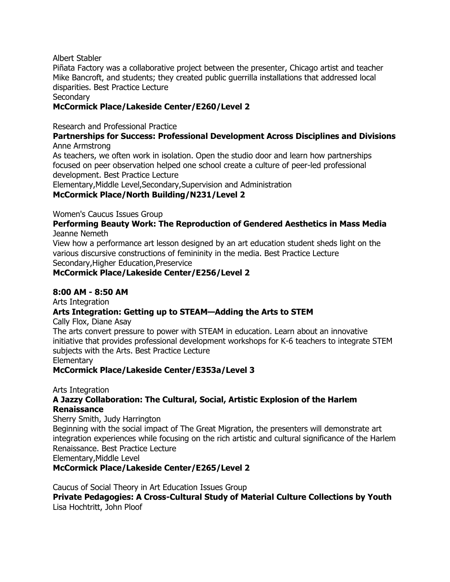Albert Stabler

Piñata Factory was a collaborative project between the presenter, Chicago artist and teacher Mike Bancroft, and students; they created public guerrilla installations that addressed local disparities. Best Practice Lecture

**Secondary** 

### **McCormick Place/Lakeside Center/E260/Level 2**

Research and Professional Practice

#### **Partnerships for Success: Professional Development Across Disciplines and Divisions** Anne Armstrong

As teachers, we often work in isolation. Open the studio door and learn how partnerships focused on peer observation helped one school create a culture of peer-led professional development. Best Practice Lecture

Elementary,Middle Level,Secondary,Supervision and Administration **McCormick Place/North Building/N231/Level 2**

Women's Caucus Issues Group

**Performing Beauty Work: The Reproduction of Gendered Aesthetics in Mass Media** Jeanne Nemeth

View how a performance art lesson designed by an art education student sheds light on the various discursive constructions of femininity in the media. Best Practice Lecture Secondary,Higher Education,Preservice

### **McCormick Place/Lakeside Center/E256/Level 2**

### **8:00 AM - 8:50 AM**

Arts Integration

### **Arts Integration: Getting up to STEAM—Adding the Arts to STEM**

Cally Flox, Diane Asay

The arts convert pressure to power with STEAM in education. Learn about an innovative initiative that provides professional development workshops for K-6 teachers to integrate STEM subjects with the Arts. Best Practice Lecture **Elementary** 

#### **McCormick Place/Lakeside Center/E353a/Level 3**

#### Arts Integration

### **A Jazzy Collaboration: The Cultural, Social, Artistic Explosion of the Harlem Renaissance**

Sherry Smith, Judy Harrington

Beginning with the social impact of The Great Migration, the presenters will demonstrate art integration experiences while focusing on the rich artistic and cultural significance of the Harlem Renaissance. Best Practice Lecture

Elementary,Middle Level

**McCormick Place/Lakeside Center/E265/Level 2**

Caucus of Social Theory in Art Education Issues Group **Private Pedagogies: A Cross-Cultural Study of Material Culture Collections by Youth** Lisa Hochtritt, John Ploof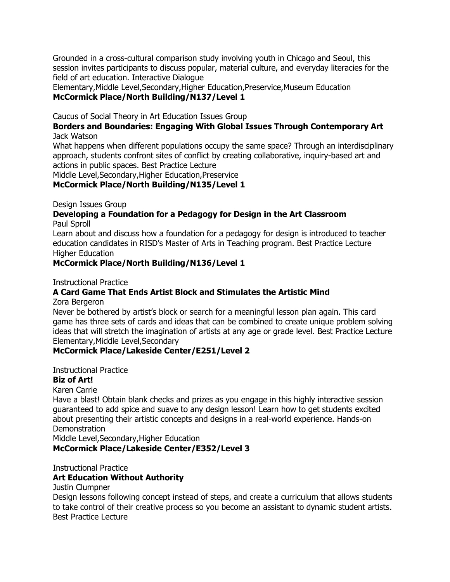Grounded in a cross-cultural comparison study involving youth in Chicago and Seoul, this session invites participants to discuss popular, material culture, and everyday literacies for the field of art education. Interactive Dialogue

Elementary,Middle Level,Secondary,Higher Education,Preservice,Museum Education **McCormick Place/North Building/N137/Level 1**

Caucus of Social Theory in Art Education Issues Group

### **Borders and Boundaries: Engaging With Global Issues Through Contemporary Art** Jack Watson

What happens when different populations occupy the same space? Through an interdisciplinary approach, students confront sites of conflict by creating collaborative, inquiry-based art and actions in public spaces. Best Practice Lecture

Middle Level,Secondary,Higher Education,Preservice

**McCormick Place/North Building/N135/Level 1**

Design Issues Group

### **Developing a Foundation for a Pedagogy for Design in the Art Classroom** Paul Sproll

Learn about and discuss how a foundation for a pedagogy for design is introduced to teacher education candidates in RISD's Master of Arts in Teaching program. Best Practice Lecture Higher Education

### **McCormick Place/North Building/N136/Level 1**

Instructional Practice

## **A Card Game That Ends Artist Block and Stimulates the Artistic Mind**

Zora Bergeron

Never be bothered by artist's block or search for a meaningful lesson plan again. This card game has three sets of cards and ideas that can be combined to create unique problem solving ideas that will stretch the imagination of artists at any age or grade level. Best Practice Lecture Elementary,Middle Level,Secondary

### **McCormick Place/Lakeside Center/E251/Level 2**

Instructional Practice

### **Biz of Art!**

Karen Carrie

Have a blast! Obtain blank checks and prizes as you engage in this highly interactive session guaranteed to add spice and suave to any design lesson! Learn how to get students excited about presenting their artistic concepts and designs in a real-world experience. Hands-on **Demonstration** 

Middle Level,Secondary,Higher Education

### **McCormick Place/Lakeside Center/E352/Level 3**

Instructional Practice

### **Art Education Without Authority**

Justin Clumpner

Design lessons following concept instead of steps, and create a curriculum that allows students to take control of their creative process so you become an assistant to dynamic student artists. Best Practice Lecture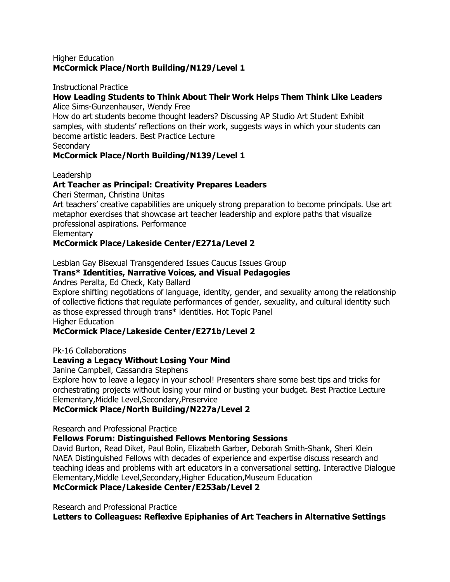#### Higher Education **McCormick Place/North Building/N129/Level 1**

#### Instructional Practice

#### **How Leading Students to Think About Their Work Helps Them Think Like Leaders** Alice Sims-Gunzenhauser, Wendy Free

How do art students become thought leaders? Discussing AP Studio Art Student Exhibit samples, with students' reflections on their work, suggests ways in which your students can

become artistic leaders. Best Practice Lecture

**Secondary** 

### **McCormick Place/North Building/N139/Level 1**

Leadership

### **Art Teacher as Principal: Creativity Prepares Leaders**

Cheri Sterman, Christina Unitas

Art teachers' creative capabilities are uniquely strong preparation to become principals. Use art metaphor exercises that showcase art teacher leadership and explore paths that visualize professional aspirations. Performance

**Elementary** 

### **McCormick Place/Lakeside Center/E271a/Level 2**

Lesbian Gay Bisexual Transgendered Issues Caucus Issues Group

### **Trans\* Identities, Narrative Voices, and Visual Pedagogies**

Andres Peralta, Ed Check, Katy Ballard

Explore shifting negotiations of language, identity, gender, and sexuality among the relationship of collective fictions that regulate performances of gender, sexuality, and cultural identity such as those expressed through trans\* identities. Hot Topic Panel

Higher Education

### **McCormick Place/Lakeside Center/E271b/Level 2**

Pk-16 Collaborations

### **Leaving a Legacy Without Losing Your Mind**

Janine Campbell, Cassandra Stephens

Explore how to leave a legacy in your school! Presenters share some best tips and tricks for orchestrating projects without losing your mind or busting your budget. Best Practice Lecture Elementary,Middle Level,Secondary,Preservice

### **McCormick Place/North Building/N227a/Level 2**

Research and Professional Practice

#### **Fellows Forum: Distinguished Fellows Mentoring Sessions**

David Burton, Read Diket, Paul Bolin, Elizabeth Garber, Deborah Smith-Shank, Sheri Klein NAEA Distinguished Fellows with decades of experience and expertise discuss research and teaching ideas and problems with art educators in a conversational setting. Interactive Dialogue Elementary,Middle Level,Secondary,Higher Education,Museum Education

**McCormick Place/Lakeside Center/E253ab/Level 2**

Research and Professional Practice

**Letters to Colleagues: Reflexive Epiphanies of Art Teachers in Alternative Settings**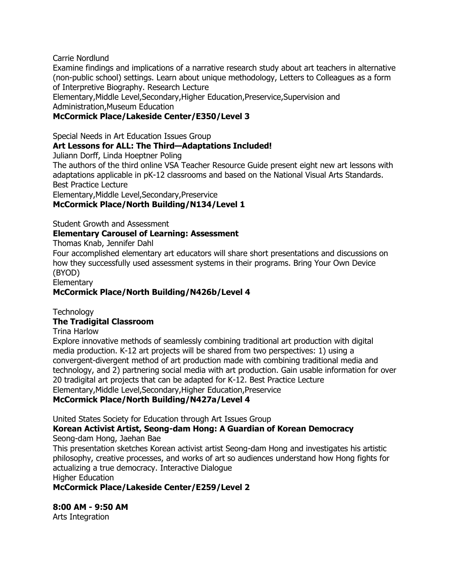Carrie Nordlund

Examine findings and implications of a narrative research study about art teachers in alternative (non-public school) settings. Learn about unique methodology, Letters to Colleagues as a form of Interpretive Biography. Research Lecture

Elementary,Middle Level,Secondary,Higher Education,Preservice,Supervision and Administration,Museum Education

## **McCormick Place/Lakeside Center/E350/Level 3**

Special Needs in Art Education Issues Group

### **Art Lessons for ALL: The Third—Adaptations Included!**

Juliann Dorff, Linda Hoeptner Poling

The authors of the third online VSA Teacher Resource Guide present eight new art lessons with adaptations applicable in pK-12 classrooms and based on the National Visual Arts Standards. Best Practice Lecture

Elementary,Middle Level,Secondary,Preservice

### **McCormick Place/North Building/N134/Level 1**

Student Growth and Assessment

### **Elementary Carousel of Learning: Assessment**

Thomas Knab, Jennifer Dahl

Four accomplished elementary art educators will share short presentations and discussions on how they successfully used assessment systems in their programs. Bring Your Own Device (BYOD)

**Elementary** 

### **McCormick Place/North Building/N426b/Level 4**

**Technology The Tradigital Classroom**

Trina Harlow

Explore innovative methods of seamlessly combining traditional art production with digital media production. K-12 art projects will be shared from two perspectives: 1) using a convergent-divergent method of art production made with combining traditional media and technology, and 2) partnering social media with art production. Gain usable information for over 20 tradigital art projects that can be adapted for K-12. Best Practice Lecture Elementary,Middle Level,Secondary,Higher Education,Preservice **McCormick Place/North Building/N427a/Level 4**

United States Society for Education through Art Issues Group

#### **Korean Activist Artist, Seong-dam Hong: A Guardian of Korean Democracy** Seong-dam Hong, Jaehan Bae

This presentation sketches Korean activist artist Seong-dam Hong and investigates his artistic philosophy, creative processes, and works of art so audiences understand how Hong fights for actualizing a true democracy. Interactive Dialogue

Higher Education

**McCormick Place/Lakeside Center/E259/Level 2**

**8:00 AM - 9:50 AM**

Arts Integration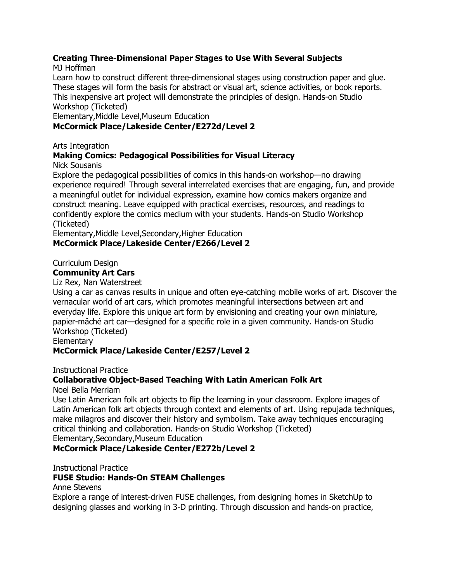### **Creating Three-Dimensional Paper Stages to Use With Several Subjects**

MJ Hoffman

Learn how to construct different three-dimensional stages using construction paper and glue. These stages will form the basis for abstract or visual art, science activities, or book reports. This inexpensive art project will demonstrate the principles of design. Hands-on Studio Workshop (Ticketed)

Elementary,Middle Level,Museum Education

### **McCormick Place/Lakeside Center/E272d/Level 2**

Arts Integration

## **Making Comics: Pedagogical Possibilities for Visual Literacy**

Nick Sousanis

Explore the pedagogical possibilities of comics in this hands-on workshop—no drawing experience required! Through several interrelated exercises that are engaging, fun, and provide a meaningful outlet for individual expression, examine how comics makers organize and construct meaning. Leave equipped with practical exercises, resources, and readings to confidently explore the comics medium with your students. Hands-on Studio Workshop (Ticketed)

Elementary,Middle Level,Secondary,Higher Education **McCormick Place/Lakeside Center/E266/Level 2**

Curriculum Design

### **Community Art Cars**

Liz Rex, Nan Waterstreet

Using a car as canvas results in unique and often eye-catching mobile works of art. Discover the vernacular world of art cars, which promotes meaningful intersections between art and everyday life. Explore this unique art form by envisioning and creating your own miniature, papier-mâché art car—designed for a specific role in a given community. Hands-on Studio Workshop (Ticketed)

**Elementary** 

### **McCormick Place/Lakeside Center/E257/Level 2**

Instructional Practice

## **Collaborative Object-Based Teaching With Latin American Folk Art**

Noel Bella Merriam

Use Latin American folk art objects to flip the learning in your classroom. Explore images of Latin American folk art objects through context and elements of art. Using repujada techniques, make milagros and discover their history and symbolism. Take away techniques encouraging critical thinking and collaboration. Hands-on Studio Workshop (Ticketed) Elementary,Secondary,Museum Education

**McCormick Place/Lakeside Center/E272b/Level 2**

Instructional Practice

### **FUSE Studio: Hands-On STEAM Challenges**

Anne Stevens

Explore a range of interest-driven FUSE challenges, from designing homes in SketchUp to designing glasses and working in 3-D printing. Through discussion and hands-on practice,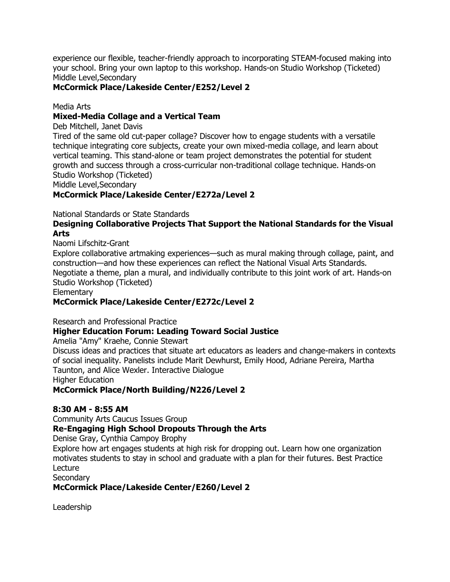experience our flexible, teacher-friendly approach to incorporating STEAM-focused making into your school. Bring your own laptop to this workshop. Hands-on Studio Workshop (Ticketed) Middle Level,Secondary

### **McCormick Place/Lakeside Center/E252/Level 2**

Media Arts

### **Mixed-Media Collage and a Vertical Team**

Deb Mitchell, Janet Davis

Tired of the same old cut-paper collage? Discover how to engage students with a versatile technique integrating core subjects, create your own mixed-media collage, and learn about vertical teaming. This stand-alone or team project demonstrates the potential for student growth and success through a cross-curricular non-traditional collage technique. Hands-on Studio Workshop (Ticketed)

Middle Level,Secondary

### **McCormick Place/Lakeside Center/E272a/Level 2**

National Standards or State Standards

### **Designing Collaborative Projects That Support the National Standards for the Visual Arts**

Naomi Lifschitz-Grant

Explore collaborative artmaking experiences—such as mural making through collage, paint, and construction—and how these experiences can reflect the National Visual Arts Standards. Negotiate a theme, plan a mural, and individually contribute to this joint work of art. Hands-on Studio Workshop (Ticketed)

**Elementary** 

#### **McCormick Place/Lakeside Center/E272c/Level 2**

Research and Professional Practice

#### **Higher Education Forum: Leading Toward Social Justice**

Amelia "Amy" Kraehe, Connie Stewart

Discuss ideas and practices that situate art educators as leaders and change-makers in contexts of social inequality. Panelists include Marit Dewhurst, Emily Hood, Adriane Pereira, Martha Taunton, and Alice Wexler. Interactive Dialogue

Higher Education

**McCormick Place/North Building/N226/Level 2**

#### **8:30 AM - 8:55 AM**

Community Arts Caucus Issues Group

### **Re-Engaging High School Dropouts Through the Arts**

Denise Gray, Cynthia Campoy Brophy

Explore how art engages students at high risk for dropping out. Learn how one organization motivates students to stay in school and graduate with a plan for their futures. Best Practice **Lecture** 

**Secondary** 

**McCormick Place/Lakeside Center/E260/Level 2**

Leadership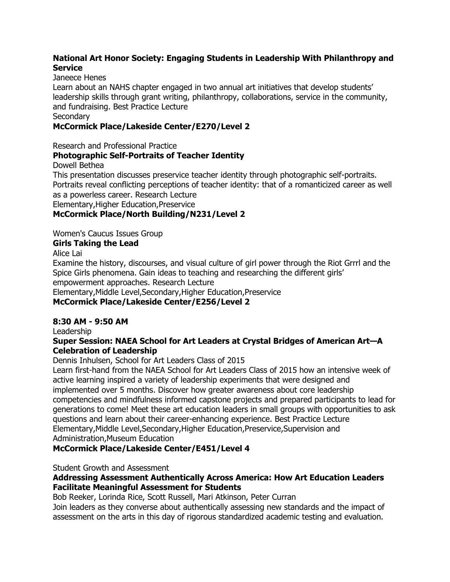### **National Art Honor Society: Engaging Students in Leadership With Philanthropy and Service**

### Janeece Henes

Learn about an NAHS chapter engaged in two annual art initiatives that develop students' leadership skills through grant writing, philanthropy, collaborations, service in the community, and fundraising. Best Practice Lecture

### **Secondary**

### **McCormick Place/Lakeside Center/E270/Level 2**

Research and Professional Practice

## **Photographic Self-Portraits of Teacher Identity**

Dowell Bethea

This presentation discusses preservice teacher identity through photographic self-portraits. Portraits reveal conflicting perceptions of teacher identity: that of a romanticized career as well as a powerless career. Research Lecture Elementary,Higher Education,Preservice

### **McCormick Place/North Building/N231/Level 2**

Women's Caucus Issues Group

### **Girls Taking the Lead**

Alice Lai

Examine the history, discourses, and visual culture of girl power through the Riot Grrrl and the Spice Girls phenomena. Gain ideas to teaching and researching the different girls' empowerment approaches. Research Lecture Elementary,Middle Level,Secondary,Higher Education,Preservice **McCormick Place/Lakeside Center/E256/Level 2**

### **8:30 AM - 9:50 AM**

Leadership

### **Super Session: NAEA School for Art Leaders at Crystal Bridges of American Art—A Celebration of Leadership**

Dennis Inhulsen, School for Art Leaders Class of 2015

Learn first-hand from the NAEA School for Art Leaders Class of 2015 how an intensive week of active learning inspired a variety of leadership experiments that were designed and implemented over 5 months. Discover how greater awareness about core leadership competencies and mindfulness informed capstone projects and prepared participants to lead for generations to come! Meet these art education leaders in small groups with opportunities to ask questions and learn about their career-enhancing experience. Best Practice Lecture Elementary,Middle Level,Secondary,Higher Education,Preservice,Supervision and Administration,Museum Education

### **McCormick Place/Lakeside Center/E451/Level 4**

Student Growth and Assessment

### **Addressing Assessment Authentically Across America: How Art Education Leaders Facilitate Meaningful Assessment for Students**

Bob Reeker, Lorinda Rice, Scott Russell, Mari Atkinson, Peter Curran

Join leaders as they converse about authentically assessing new standards and the impact of assessment on the arts in this day of rigorous standardized academic testing and evaluation.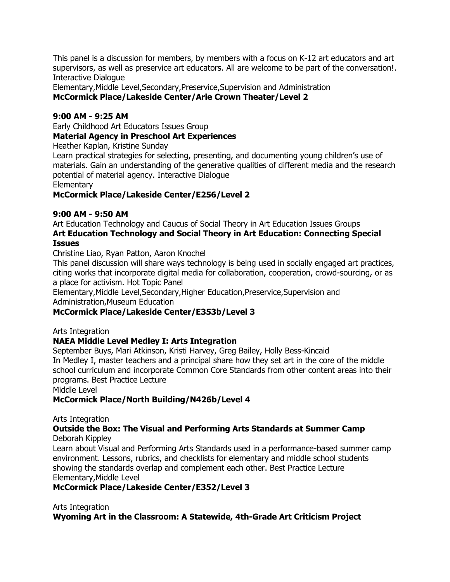This panel is a discussion for members, by members with a focus on K-12 art educators and art supervisors, as well as preservice art educators. All are welcome to be part of the conversation!. Interactive Dialogue

Elementary,Middle Level,Secondary,Preservice,Supervision and Administration **McCormick Place/Lakeside Center/Arie Crown Theater/Level 2**

### **9:00 AM - 9:25 AM**

Early Childhood Art Educators Issues Group

### **Material Agency in Preschool Art Experiences**

Heather Kaplan, Kristine Sunday

Learn practical strategies for selecting, presenting, and documenting young children's use of materials. Gain an understanding of the generative qualities of different media and the research potential of material agency. Interactive Dialogue

**Elementary** 

### **McCormick Place/Lakeside Center/E256/Level 2**

### **9:00 AM - 9:50 AM**

Art Education Technology and Caucus of Social Theory in Art Education Issues Groups **Art Education Technology and Social Theory in Art Education: Connecting Special Issues**

Christine Liao, Ryan Patton, Aaron Knochel

This panel discussion will share ways technology is being used in socially engaged art practices, citing works that incorporate digital media for collaboration, cooperation, crowd-sourcing, or as a place for activism. Hot Topic Panel

Elementary,Middle Level,Secondary,Higher Education,Preservice,Supervision and Administration,Museum Education

### **McCormick Place/Lakeside Center/E353b/Level 3**

Arts Integration

### **NAEA Middle Level Medley I: Arts Integration**

September Buys, Mari Atkinson, Kristi Harvey, Greg Bailey, Holly Bess-Kincaid In Medley I, master teachers and a principal share how they set art in the core of the middle school curriculum and incorporate Common Core Standards from other content areas into their programs. Best Practice Lecture

Middle Level

### **McCormick Place/North Building/N426b/Level 4**

Arts Integration

#### **Outside the Box: The Visual and Performing Arts Standards at Summer Camp** Deborah Kippley

Learn about Visual and Performing Arts Standards used in a performance-based summer camp environment. Lessons, rubrics, and checklists for elementary and middle school students showing the standards overlap and complement each other. Best Practice Lecture Elementary,Middle Level

### **McCormick Place/Lakeside Center/E352/Level 3**

Arts Integration

**Wyoming Art in the Classroom: A Statewide, 4th-Grade Art Criticism Project**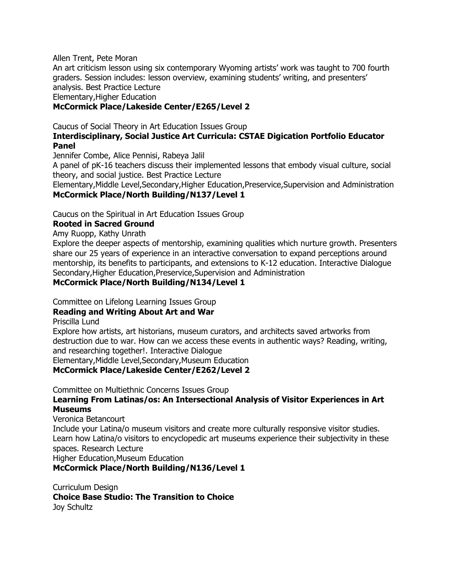Allen Trent, Pete Moran

An art criticism lesson using six contemporary Wyoming artists' work was taught to 700 fourth graders. Session includes: lesson overview, examining students' writing, and presenters' analysis. Best Practice Lecture Elementary,Higher Education

### **McCormick Place/Lakeside Center/E265/Level 2**

### Caucus of Social Theory in Art Education Issues Group **Interdisciplinary, Social Justice Art Curricula: CSTAE Digication Portfolio Educator Panel**

Jennifer Combe, Alice Pennisi, Rabeya Jalil

A panel of pK-16 teachers discuss their implemented lessons that embody visual culture, social theory, and social justice. Best Practice Lecture

Elementary,Middle Level,Secondary,Higher Education,Preservice,Supervision and Administration **McCormick Place/North Building/N137/Level 1**

Caucus on the Spiritual in Art Education Issues Group

#### **Rooted in Sacred Ground**

Amy Ruopp, Kathy Unrath

Explore the deeper aspects of mentorship, examining qualities which nurture growth. Presenters share our 25 years of experience in an interactive conversation to expand perceptions around mentorship, its benefits to participants, and extensions to K-12 education. Interactive Dialogue Secondary,Higher Education,Preservice,Supervision and Administration

### **McCormick Place/North Building/N134/Level 1**

Committee on Lifelong Learning Issues Group

## **Reading and Writing About Art and War**

Priscilla Lund

Explore how artists, art historians, museum curators, and architects saved artworks from destruction due to war. How can we access these events in authentic ways? Reading, writing, and researching together!. Interactive Dialogue Elementary,Middle Level,Secondary,Museum Education

**McCormick Place/Lakeside Center/E262/Level 2**

Committee on Multiethnic Concerns Issues Group

### **Learning From Latinas/os: An Intersectional Analysis of Visitor Experiences in Art Museums**

Veronica Betancourt

Include your Latina/o museum visitors and create more culturally responsive visitor studies. Learn how Latina/o visitors to encyclopedic art museums experience their subjectivity in these spaces. Research Lecture

Higher Education,Museum Education

**McCormick Place/North Building/N136/Level 1**

Curriculum Design **Choice Base Studio: The Transition to Choice** Joy Schultz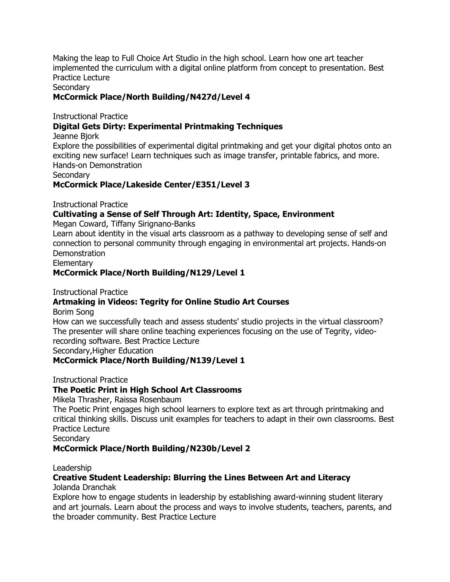Making the leap to Full Choice Art Studio in the high school. Learn how one art teacher implemented the curriculum with a digital online platform from concept to presentation. Best Practice Lecture

Secondary

### **McCormick Place/North Building/N427d/Level 4**

Instructional Practice

### **Digital Gets Dirty: Experimental Printmaking Techniques**

Jeanne Bjork

Explore the possibilities of experimental digital printmaking and get your digital photos onto an exciting new surface! Learn techniques such as image transfer, printable fabrics, and more. Hands-on Demonstration

**Secondary** 

**McCormick Place/Lakeside Center/E351/Level 3**

Instructional Practice

### **Cultivating a Sense of Self Through Art: Identity, Space, Environment**

Megan Coward, Tiffany Sirignano-Banks

Learn about identity in the visual arts classroom as a pathway to developing sense of self and connection to personal community through engaging in environmental art projects. Hands-on **Demonstration** 

**Elementary** 

### **McCormick Place/North Building/N129/Level 1**

Instructional Practice

### **Artmaking in Videos: Tegrity for Online Studio Art Courses**

Borim Song

How can we successfully teach and assess students' studio projects in the virtual classroom? The presenter will share online teaching experiences focusing on the use of Tegrity, videorecording software. Best Practice Lecture Secondary,Higher Education

#### **McCormick Place/North Building/N139/Level 1**

Instructional Practice

#### **The Poetic Print in High School Art Classrooms**

Mikela Thrasher, Raissa Rosenbaum

The Poetic Print engages high school learners to explore text as art through printmaking and critical thinking skills. Discuss unit examples for teachers to adapt in their own classrooms. Best Practice Lecture

**Secondary** 

#### **McCormick Place/North Building/N230b/Level 2**

Leadership

### **Creative Student Leadership: Blurring the Lines Between Art and Literacy**

Jolanda Dranchak

Explore how to engage students in leadership by establishing award-winning student literary and art journals. Learn about the process and ways to involve students, teachers, parents, and the broader community. Best Practice Lecture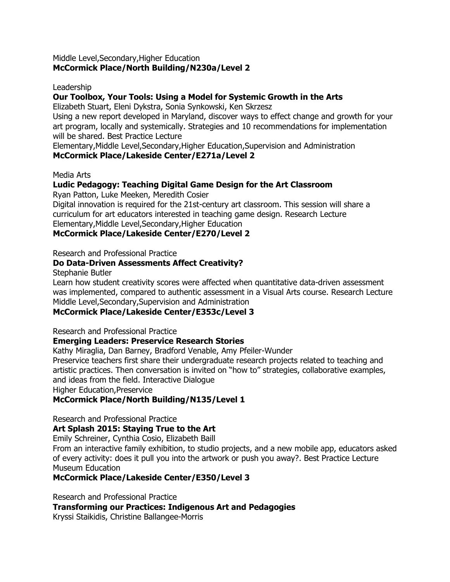#### Middle Level,Secondary,Higher Education **McCormick Place/North Building/N230a/Level 2**

#### Leadership

#### **Our Toolbox, Your Tools: Using a Model for Systemic Growth in the Arts**

Elizabeth Stuart, Eleni Dykstra, Sonia Synkowski, Ken Skrzesz

Using a new report developed in Maryland, discover ways to effect change and growth for your art program, locally and systemically. Strategies and 10 recommendations for implementation will be shared. Best Practice Lecture

Elementary,Middle Level,Secondary,Higher Education,Supervision and Administration **McCormick Place/Lakeside Center/E271a/Level 2**

Media Arts

### **Ludic Pedagogy: Teaching Digital Game Design for the Art Classroom**

Ryan Patton, Luke Meeken, Meredith Cosier

Digital innovation is required for the 21st-century art classroom. This session will share a curriculum for art educators interested in teaching game design. Research Lecture Elementary,Middle Level,Secondary,Higher Education

**McCormick Place/Lakeside Center/E270/Level 2**

Research and Professional Practice

#### **Do Data-Driven Assessments Affect Creativity?**

Stephanie Butler

Learn how student creativity scores were affected when quantitative data-driven assessment was implemented, compared to authentic assessment in a Visual Arts course. Research Lecture Middle Level,Secondary,Supervision and Administration

#### **McCormick Place/Lakeside Center/E353c/Level 3**

Research and Professional Practice

#### **Emerging Leaders: Preservice Research Stories**

Kathy Miraglia, Dan Barney, Bradford Venable, Amy Pfeiler-Wunder Preservice teachers first share their undergraduate research projects related to teaching and artistic practices. Then conversation is invited on "how to" strategies, collaborative examples, and ideas from the field. Interactive Dialogue

Higher Education,Preservice

#### **McCormick Place/North Building/N135/Level 1**

Research and Professional Practice

#### **Art Splash 2015: Staying True to the Art**

Emily Schreiner, Cynthia Cosio, Elizabeth Baill

From an interactive family exhibition, to studio projects, and a new mobile app, educators asked of every activity: does it pull you into the artwork or push you away?. Best Practice Lecture Museum Education

### **McCormick Place/Lakeside Center/E350/Level 3**

Research and Professional Practice

**Transforming our Practices: Indigenous Art and Pedagogies**

Kryssi Staikidis, Christine Ballangee-Morris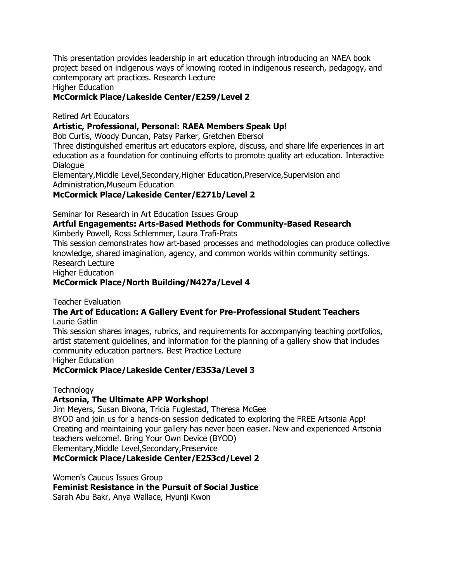This presentation provides leadership in art education through introducing an NAEA book project based on indigenous ways of knowing rooted in indigenous research, pedagogy, and contemporary art practices. Research Lecture

Higher Education

### **McCormick Place/Lakeside Center/E259/Level 2**

Retired Art Educators

### **Artistic, Professional, Personal: RAEA Members Speak Up!**

Bob Curtis, Woody Duncan, Patsy Parker, Gretchen Ebersol

Three distinguished emeritus art educators explore, discuss, and share life experiences in art education as a foundation for continuing efforts to promote quality art education. Interactive Dialogue

Elementary,Middle Level,Secondary,Higher Education,Preservice,Supervision and Administration,Museum Education

### **McCormick Place/Lakeside Center/E271b/Level 2**

Seminar for Research in Art Education Issues Group

## **Artful Engagements: Arts-Based Methods for Community-Based Research**

Kimberly Powell, Ross Schlemmer, Laura Trafí-Prats

This session demonstrates how art-based processes and methodologies can produce collective knowledge, shared imagination, agency, and common worlds within community settings. Research Lecture

Higher Education

### **McCormick Place/North Building/N427a/Level 4**

Teacher Evaluation

#### **The Art of Education: A Gallery Event for Pre-Professional Student Teachers** Laurie Gatlin

This session shares images, rubrics, and requirements for accompanying teaching portfolios, artist statement guidelines, and information for the planning of a gallery show that includes community education partners. Best Practice Lecture Higher Education

### **McCormick Place/Lakeside Center/E353a/Level 3**

### **Technology**

### **Artsonia, The Ultimate APP Workshop!**

Jim Meyers, Susan Bivona, Tricia Fuglestad, Theresa McGee BYOD and join us for a hands-on session dedicated to exploring the FREE Artsonia App! Creating and maintaining your gallery has never been easier. New and experienced Artsonia teachers welcome!. Bring Your Own Device (BYOD) Elementary,Middle Level,Secondary,Preservice

### **McCormick Place/Lakeside Center/E253cd/Level 2**

Women's Caucus Issues Group

**Feminist Resistance in the Pursuit of Social Justice**

Sarah Abu Bakr, Anya Wallace, Hyunji Kwon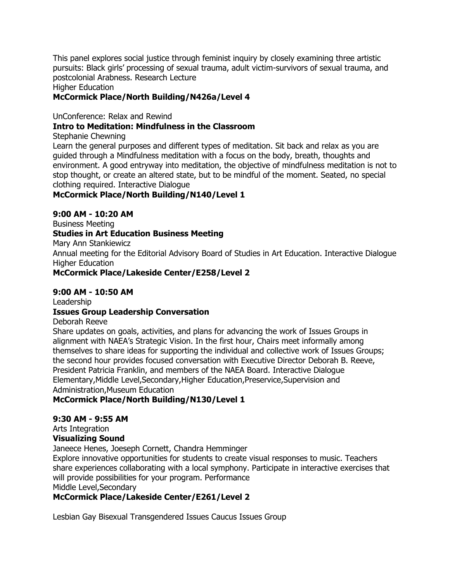This panel explores social justice through feminist inquiry by closely examining three artistic pursuits: Black girls' processing of sexual trauma, adult victim-survivors of sexual trauma, and postcolonial Arabness. Research Lecture

Higher Education

### **McCormick Place/North Building/N426a/Level 4**

UnConference: Relax and Rewind

### **Intro to Meditation: Mindfulness in the Classroom**

Stephanie Chewning

Learn the general purposes and different types of meditation. Sit back and relax as you are guided through a Mindfulness meditation with a focus on the body, breath, thoughts and environment. A good entryway into meditation, the objective of mindfulness meditation is not to stop thought, or create an altered state, but to be mindful of the moment. Seated, no special clothing required. Interactive Dialogue

### **McCormick Place/North Building/N140/Level 1**

### **9:00 AM - 10:20 AM**

Business Meeting **Studies in Art Education Business Meeting** Mary Ann Stankiewicz Annual meeting for the Editorial Advisory Board of Studies in Art Education. Interactive Dialogue Higher Education **McCormick Place/Lakeside Center/E258/Level 2**

### **9:00 AM - 10:50 AM**

Leadership

### **Issues Group Leadership Conversation**

Deborah Reeve

Share updates on goals, activities, and plans for advancing the work of Issues Groups in alignment with NAEA's Strategic Vision. In the first hour, Chairs meet informally among themselves to share ideas for supporting the individual and collective work of Issues Groups; the second hour provides focused conversation with Executive Director Deborah B. Reeve, President Patricia Franklin, and members of the NAEA Board. Interactive Dialogue Elementary,Middle Level,Secondary,Higher Education,Preservice,Supervision and Administration,Museum Education

## **McCormick Place/North Building/N130/Level 1**

### **9:30 AM - 9:55 AM**

Arts Integration

### **Visualizing Sound**

Janeece Henes, Joeseph Cornett, Chandra Hemminger

Explore innovative opportunities for students to create visual responses to music. Teachers share experiences collaborating with a local symphony. Participate in interactive exercises that will provide possibilities for your program. Performance Middle Level,Secondary

## **McCormick Place/Lakeside Center/E261/Level 2**

Lesbian Gay Bisexual Transgendered Issues Caucus Issues Group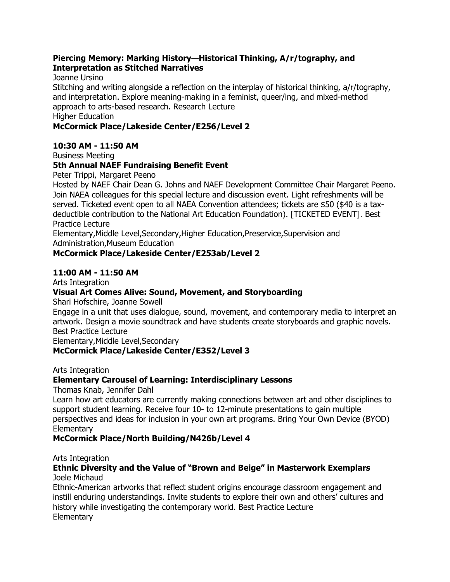### **Piercing Memory: Marking History—Historical Thinking, A/r/tography, and Interpretation as Stitched Narratives**

Joanne Ursino

Stitching and writing alongside a reflection on the interplay of historical thinking, a/r/tography, and interpretation. Explore meaning-making in a feminist, queer/ing, and mixed-method approach to arts-based research. Research Lecture Higher Education

### **McCormick Place/Lakeside Center/E256/Level 2**

### **10:30 AM - 11:50 AM**

Business Meeting

### **5th Annual NAEF Fundraising Benefit Event**

Peter Trippi, Margaret Peeno

Hosted by NAEF Chair Dean G. Johns and NAEF Development Committee Chair Margaret Peeno. Join NAEA colleagues for this special lecture and discussion event. Light refreshments will be served. Ticketed event open to all NAEA Convention attendees; tickets are \$50 (\$40 is a taxdeductible contribution to the National Art Education Foundation). [TICKETED EVENT]. Best Practice Lecture

Elementary,Middle Level,Secondary,Higher Education,Preservice,Supervision and Administration,Museum Education

### **McCormick Place/Lakeside Center/E253ab/Level 2**

### **11:00 AM - 11:50 AM**

Arts Integration

### **Visual Art Comes Alive: Sound, Movement, and Storyboarding**

Shari Hofschire, Joanne Sowell

Engage in a unit that uses dialogue, sound, movement, and contemporary media to interpret an artwork. Design a movie soundtrack and have students create storyboards and graphic novels. Best Practice Lecture

Elementary,Middle Level,Secondary

### **McCormick Place/Lakeside Center/E352/Level 3**

Arts Integration

### **Elementary Carousel of Learning: Interdisciplinary Lessons**

Thomas Knab, Jennifer Dahl

Learn how art educators are currently making connections between art and other disciplines to support student learning. Receive four 10- to 12-minute presentations to gain multiple perspectives and ideas for inclusion in your own art programs. Bring Your Own Device (BYOD) **Elementary** 

### **McCormick Place/North Building/N426b/Level 4**

#### Arts Integration

#### **Ethnic Diversity and the Value of "Brown and Beige" in Masterwork Exemplars** Joele Michaud

Ethnic-American artworks that reflect student origins encourage classroom engagement and instill enduring understandings. Invite students to explore their own and others' cultures and history while investigating the contemporary world. Best Practice Lecture **Elementary**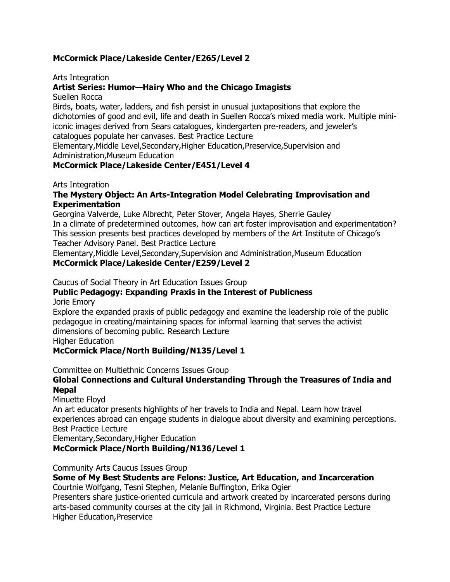### **McCormick Place/Lakeside Center/E265/Level 2**

Arts Integration

### **Artist Series: Humor—Hairy Who and the Chicago Imagists**

Suellen Rocca

Birds, boats, water, ladders, and fish persist in unusual juxtapositions that explore the dichotomies of good and evil, life and death in Suellen Rocca's mixed media work. Multiple miniiconic images derived from Sears catalogues, kindergarten pre-readers, and jeweler's catalogues populate her canvases. Best Practice Lecture

Elementary,Middle Level,Secondary,Higher Education,Preservice,Supervision and Administration,Museum Education

### **McCormick Place/Lakeside Center/E451/Level 4**

Arts Integration

### **The Mystery Object: An Arts-Integration Model Celebrating Improvisation and Experimentation**

Georgina Valverde, Luke Albrecht, Peter Stover, Angela Hayes, Sherrie Gauley In a climate of predetermined outcomes, how can art foster improvisation and experimentation? This session presents best practices developed by members of the Art Institute of Chicago's Teacher Advisory Panel. Best Practice Lecture

Elementary,Middle Level,Secondary,Supervision and Administration,Museum Education **McCormick Place/Lakeside Center/E259/Level 2**

Caucus of Social Theory in Art Education Issues Group

### **Public Pedagogy: Expanding Praxis in the Interest of Publicness**

Jorie Emory

Explore the expanded praxis of public pedagogy and examine the leadership role of the public pedagogue in creating/maintaining spaces for informal learning that serves the activist dimensions of becoming public. Research Lecture

Higher Education

### **McCormick Place/North Building/N135/Level 1**

Committee on Multiethnic Concerns Issues Group

### **Global Connections and Cultural Understanding Through the Treasures of India and Nepal**

Minuette Floyd

An art educator presents highlights of her travels to India and Nepal. Learn how travel experiences abroad can engage students in dialogue about diversity and examining perceptions. Best Practice Lecture

Elementary,Secondary,Higher Education

**McCormick Place/North Building/N136/Level 1**

Community Arts Caucus Issues Group

### **Some of My Best Students are Felons: Justice, Art Education, and Incarceration**

Courtnie Wolfgang, Tesni Stephen, Melanie Buffington, Erika Ogier

Presenters share justice-oriented curricula and artwork created by incarcerated persons during arts-based community courses at the city jail in Richmond, Virginia. Best Practice Lecture Higher Education,Preservice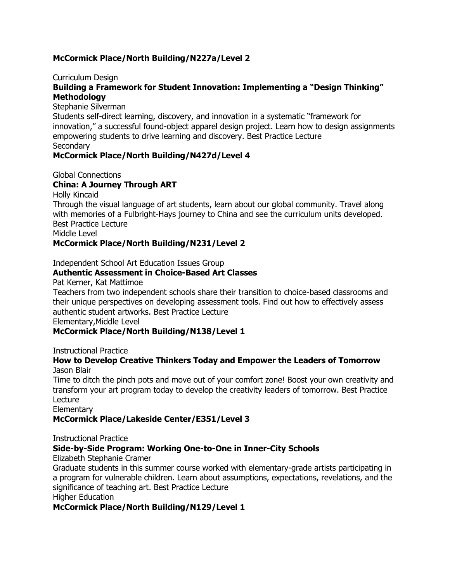### **McCormick Place/North Building/N227a/Level 2**

#### Curriculum Design

### Building a Framework for Student Innovation: Implementing a "Design Thinking" **Methodology**

Stephanie Silverman

Students self-direct learning, discovery, and innovation in a systematic "framework for innovation," a successful found-object apparel design project. Learn how to design assignments empowering students to drive learning and discovery. Best Practice Lecture **Secondary** 

### **McCormick Place/North Building/N427d/Level 4**

Global Connections

### **China: A Journey Through ART**

Holly Kincaid

Through the visual language of art students, learn about our global community. Travel along with memories of a Fulbright-Hays journey to China and see the curriculum units developed. Best Practice Lecture

Middle Level

#### **McCormick Place/North Building/N231/Level 2**

Independent School Art Education Issues Group

### **Authentic Assessment in Choice-Based Art Classes**

Pat Kerner, Kat Mattimoe

Teachers from two independent schools share their transition to choice-based classrooms and their unique perspectives on developing assessment tools. Find out how to effectively assess authentic student artworks. Best Practice Lecture

Elementary,Middle Level

#### **McCormick Place/North Building/N138/Level 1**

Instructional Practice

#### **How to Develop Creative Thinkers Today and Empower the Leaders of Tomorrow** Jason Blair

Time to ditch the pinch pots and move out of your comfort zone! Boost your own creativity and transform your art program today to develop the creativity leaders of tomorrow. Best Practice Lecture

**Elementary** 

#### **McCormick Place/Lakeside Center/E351/Level 3**

Instructional Practice

### **Side-by-Side Program: Working One-to-One in Inner-City Schools**

Elizabeth Stephanie Cramer

Graduate students in this summer course worked with elementary-grade artists participating in a program for vulnerable children. Learn about assumptions, expectations, revelations, and the significance of teaching art. Best Practice Lecture Higher Education

#### **McCormick Place/North Building/N129/Level 1**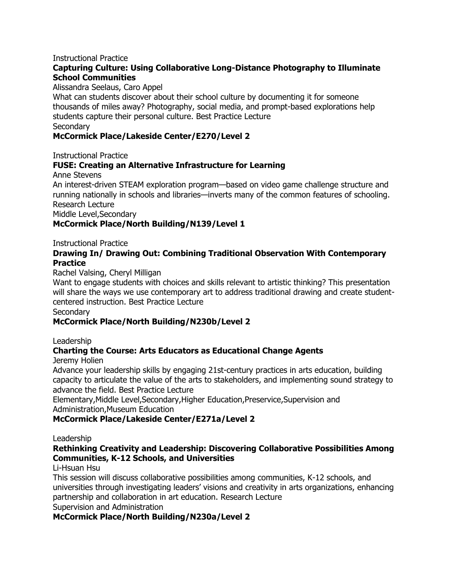#### Instructional Practice

### **Capturing Culture: Using Collaborative Long-Distance Photography to Illuminate School Communities**

Alissandra Seelaus, Caro Appel

What can students discover about their school culture by documenting it for someone thousands of miles away? Photography, social media, and prompt-based explorations help students capture their personal culture. Best Practice Lecture **Secondary** 

### **McCormick Place/Lakeside Center/E270/Level 2**

Instructional Practice

### **FUSE: Creating an Alternative Infrastructure for Learning**

Anne Stevens

An interest-driven STEAM exploration program—based on video game challenge structure and running nationally in schools and libraries—inverts many of the common features of schooling. Research Lecture

Middle Level,Secondary

### **McCormick Place/North Building/N139/Level 1**

Instructional Practice

### **Drawing In/ Drawing Out: Combining Traditional Observation With Contemporary Practice**

Rachel Valsing, Cheryl Milligan

Want to engage students with choices and skills relevant to artistic thinking? This presentation will share the ways we use contemporary art to address traditional drawing and create studentcentered instruction. Best Practice Lecture

**Secondary** 

### **McCormick Place/North Building/N230b/Level 2**

#### Leadership

## **Charting the Course: Arts Educators as Educational Change Agents**

Jeremy Holien

Advance your leadership skills by engaging 21st-century practices in arts education, building capacity to articulate the value of the arts to stakeholders, and implementing sound strategy to advance the field. Best Practice Lecture

Elementary,Middle Level,Secondary,Higher Education,Preservice,Supervision and Administration,Museum Education

### **McCormick Place/Lakeside Center/E271a/Level 2**

#### Leadership

### **Rethinking Creativity and Leadership: Discovering Collaborative Possibilities Among Communities, K-12 Schools, and Universities**

Li-Hsuan Hsu

This session will discuss collaborative possibilities among communities, K-12 schools, and universities through investigating leaders' visions and creativity in arts organizations, enhancing partnership and collaboration in art education. Research Lecture Supervision and Administration

**McCormick Place/North Building/N230a/Level 2**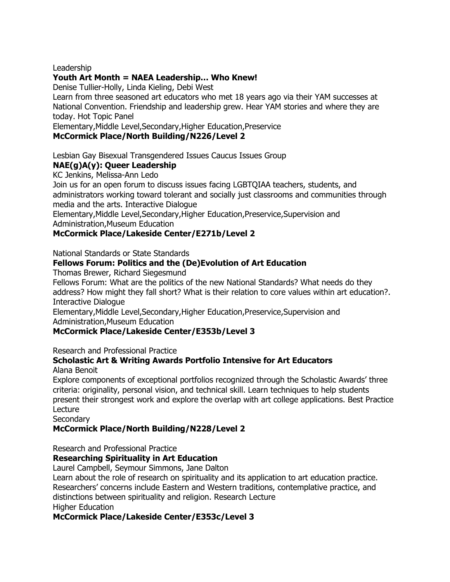### Leadership

### **Youth Art Month = NAEA Leadership… Who Knew!**

Denise Tullier-Holly, Linda Kieling, Debi West

Learn from three seasoned art educators who met 18 years ago via their YAM successes at National Convention. Friendship and leadership grew. Hear YAM stories and where they are today. Hot Topic Panel

Elementary,Middle Level,Secondary,Higher Education,Preservice

### **McCormick Place/North Building/N226/Level 2**

Lesbian Gay Bisexual Transgendered Issues Caucus Issues Group

### **NAE(g)A(y): Queer Leadership**

KC Jenkins, Melissa-Ann Ledo

Join us for an open forum to discuss issues facing LGBTQIAA teachers, students, and administrators working toward tolerant and socially just classrooms and communities through media and the arts. Interactive Dialogue

Elementary,Middle Level,Secondary,Higher Education,Preservice,Supervision and Administration,Museum Education

### **McCormick Place/Lakeside Center/E271b/Level 2**

National Standards or State Standards

### **Fellows Forum: Politics and the (De)Evolution of Art Education**

Thomas Brewer, Richard Siegesmund

Fellows Forum: What are the politics of the new National Standards? What needs do they address? How might they fall short? What is their relation to core values within art education?. Interactive Dialogue

Elementary,Middle Level,Secondary,Higher Education,Preservice,Supervision and Administration,Museum Education

### **McCormick Place/Lakeside Center/E353b/Level 3**

Research and Professional Practice

#### **Scholastic Art & Writing Awards Portfolio Intensive for Art Educators** Alana Benoit

Explore components of exceptional portfolios recognized through the Scholastic Awards' three criteria: originality, personal vision, and technical skill. Learn techniques to help students present their strongest work and explore the overlap with art college applications. Best Practice Lecture

**Secondary** 

## **McCormick Place/North Building/N228/Level 2**

Research and Professional Practice

### **Researching Spirituality in Art Education**

Laurel Campbell, Seymour Simmons, Jane Dalton

Learn about the role of research on spirituality and its application to art education practice. Researchers' concerns include Eastern and Western traditions, contemplative practice, and distinctions between spirituality and religion. Research Lecture Higher Education

### **McCormick Place/Lakeside Center/E353c/Level 3**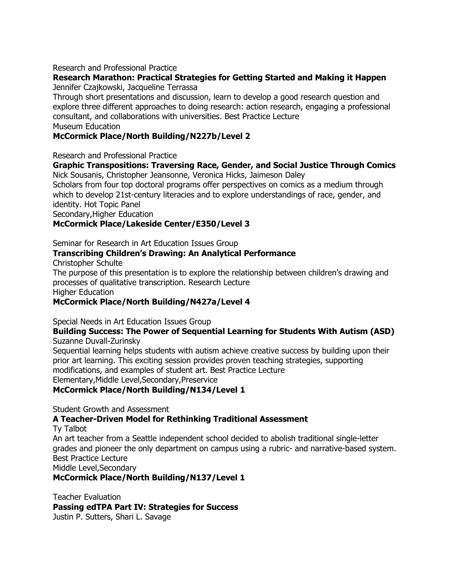### Research and Professional Practice

# **Research Marathon: Practical Strategies for Getting Started and Making it Happen**

Jennifer Czajkowski, Jacqueline Terrassa

Through short presentations and discussion, learn to develop a good research question and explore three different approaches to doing research: action research, engaging a professional consultant, and collaborations with universities. Best Practice Lecture

Museum Education

### **McCormick Place/North Building/N227b/Level 2**

Research and Professional Practice

#### **Graphic Transpositions: Traversing Race, Gender, and Social Justice Through Comics** Nick Sousanis, Christopher Jeansonne, Veronica Hicks, Jaimeson Daley

Scholars from four top doctoral programs offer perspectives on comics as a medium through which to develop 21st-century literacies and to explore understandings of race, gender, and identity. Hot Topic Panel

Secondary,Higher Education

### **McCormick Place/Lakeside Center/E350/Level 3**

Seminar for Research in Art Education Issues Group

### **Transcribing Children's Drawing: An Analytical Performance**

Christopher Schulte

The purpose of this presentation is to explore the relationship between children's drawing and processes of qualitative transcription. Research Lecture

Higher Education

### **McCormick Place/North Building/N427a/Level 4**

Special Needs in Art Education Issues Group

#### **Building Success: The Power of Sequential Learning for Students With Autism (ASD)** Suzanne Duvall-Zurinsky

Sequential learning helps students with autism achieve creative success by building upon their prior art learning. This exciting session provides proven teaching strategies, supporting modifications, and examples of student art. Best Practice Lecture Elementary,Middle Level,Secondary,Preservice

### **McCormick Place/North Building/N134/Level 1**

Student Growth and Assessment

### **A Teacher-Driven Model for Rethinking Traditional Assessment**

Ty Talbot

An art teacher from a Seattle independent school decided to abolish traditional single-letter grades and pioneer the only department on campus using a rubric- and narrative-based system. Best Practice Lecture

Middle Level,Secondary

**McCormick Place/North Building/N137/Level 1**

Teacher Evaluation **Passing edTPA Part IV: Strategies for Success** Justin P. Sutters, Shari L. Savage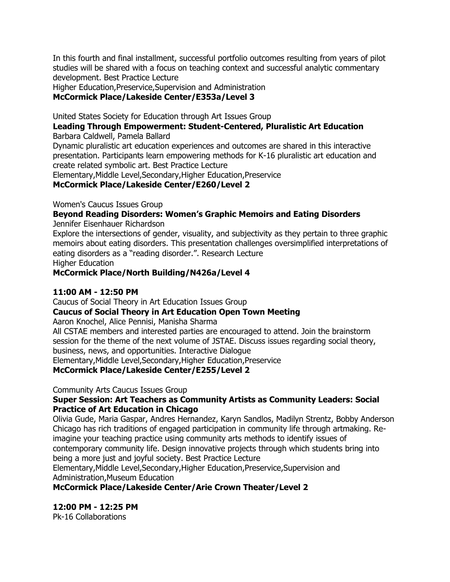In this fourth and final installment, successful portfolio outcomes resulting from years of pilot studies will be shared with a focus on teaching context and successful analytic commentary development. Best Practice Lecture

Higher Education,Preservice,Supervision and Administration **McCormick Place/Lakeside Center/E353a/Level 3**

United States Society for Education through Art Issues Group

**Leading Through Empowerment: Student-Centered, Pluralistic Art Education**

Barbara Caldwell, Pamela Ballard

Dynamic pluralistic art education experiences and outcomes are shared in this interactive presentation. Participants learn empowering methods for K-16 pluralistic art education and create related symbolic art. Best Practice Lecture

Elementary,Middle Level,Secondary,Higher Education,Preservice

**McCormick Place/Lakeside Center/E260/Level 2**

Women's Caucus Issues Group

### **Beyond Reading Disorders: Women's Graphic Memoirs and Eating Disorders**

Jennifer Eisenhauer Richardson

Explore the intersections of gender, visuality, and subjectivity as they pertain to three graphic memoirs about eating disorders. This presentation challenges oversimplified interpretations of eating disorders as a "reading disorder.". Research Lecture Higher Education

**McCormick Place/North Building/N426a/Level 4**

### **11:00 AM - 12:50 PM**

Caucus of Social Theory in Art Education Issues Group

**Caucus of Social Theory in Art Education Open Town Meeting**

Aaron Knochel, Alice Pennisi, Manisha Sharma

All CSTAE members and interested parties are encouraged to attend. Join the brainstorm session for the theme of the next volume of JSTAE. Discuss issues regarding social theory, business, news, and opportunities. Interactive Dialogue

Elementary,Middle Level,Secondary,Higher Education,Preservice

**McCormick Place/Lakeside Center/E255/Level 2**

### Community Arts Caucus Issues Group

### **Super Session: Art Teachers as Community Artists as Community Leaders: Social Practice of Art Education in Chicago**

Olivia Gude, Maria Gaspar, Andres Hernandez, Karyn Sandlos, Madilyn Strentz, Bobby Anderson Chicago has rich traditions of engaged participation in community life through artmaking. Reimagine your teaching practice using community arts methods to identify issues of contemporary community life. Design innovative projects through which students bring into being a more just and joyful society. Best Practice Lecture

Elementary,Middle Level,Secondary,Higher Education,Preservice,Supervision and Administration,Museum Education

**McCormick Place/Lakeside Center/Arie Crown Theater/Level 2**

**12:00 PM - 12:25 PM**

Pk-16 Collaborations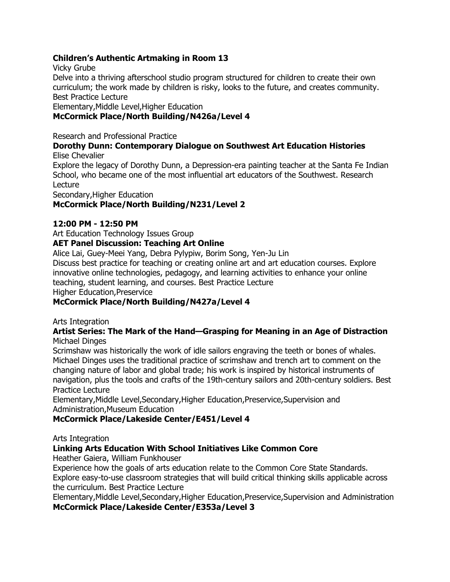### **Children's Authentic Artmaking in Room 13**

Vicky Grube

Delve into a thriving afterschool studio program structured for children to create their own curriculum; the work made by children is risky, looks to the future, and creates community. Best Practice Lecture

Elementary,Middle Level,Higher Education

### **McCormick Place/North Building/N426a/Level 4**

Research and Professional Practice

#### **Dorothy Dunn: Contemporary Dialogue on Southwest Art Education Histories** Elise Chevalier

Explore the legacy of Dorothy Dunn, a Depression-era painting teacher at the Santa Fe Indian School, who became one of the most influential art educators of the Southwest. Research Lecture

Secondary,Higher Education

### **McCormick Place/North Building/N231/Level 2**

### **12:00 PM - 12:50 PM**

Art Education Technology Issues Group

## **AET Panel Discussion: Teaching Art Online**

Alice Lai, Guey-Meei Yang, Debra Pylypiw, Borim Song, Yen-Ju Lin Discuss best practice for teaching or creating online art and art education courses. Explore innovative online technologies, pedagogy, and learning activities to enhance your online teaching, student learning, and courses. Best Practice Lecture Higher Education,Preservice

### **McCormick Place/North Building/N427a/Level 4**

Arts Integration

#### **Artist Series: The Mark of the Hand—Grasping for Meaning in an Age of Distraction** Michael Dinges

Scrimshaw was historically the work of idle sailors engraving the teeth or bones of whales. Michael Dinges uses the traditional practice of scrimshaw and trench art to comment on the changing nature of labor and global trade; his work is inspired by historical instruments of navigation, plus the tools and crafts of the 19th-century sailors and 20th-century soldiers. Best Practice Lecture

Elementary,Middle Level,Secondary,Higher Education,Preservice,Supervision and Administration,Museum Education

### **McCormick Place/Lakeside Center/E451/Level 4**

Arts Integration

## **Linking Arts Education With School Initiatives Like Common Core**

Heather Gaiera, William Funkhouser

Experience how the goals of arts education relate to the Common Core State Standards. Explore easy-to-use classroom strategies that will build critical thinking skills applicable across the curriculum. Best Practice Lecture

Elementary,Middle Level,Secondary,Higher Education,Preservice,Supervision and Administration **McCormick Place/Lakeside Center/E353a/Level 3**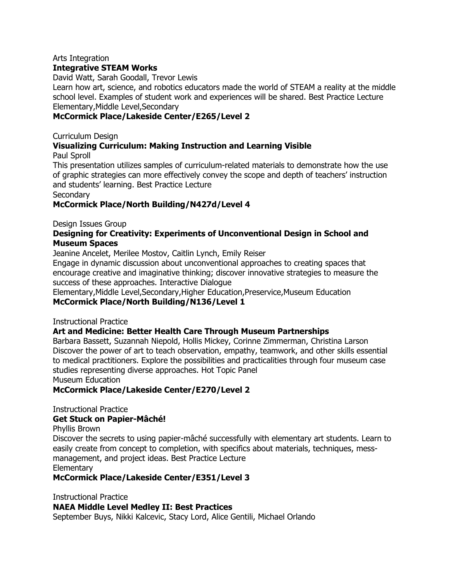#### Arts Integration **Integrative STEAM Works**

David Watt, Sarah Goodall, Trevor Lewis

Learn how art, science, and robotics educators made the world of STEAM a reality at the middle school level. Examples of student work and experiences will be shared. Best Practice Lecture Elementary,Middle Level,Secondary

### **McCormick Place/Lakeside Center/E265/Level 2**

### Curriculum Design

### **Visualizing Curriculum: Making Instruction and Learning Visible**

Paul Sproll

This presentation utilizes samples of curriculum-related materials to demonstrate how the use of graphic strategies can more effectively convey the scope and depth of teachers' instruction and students' learning. Best Practice Lecture

**Secondary** 

### **McCormick Place/North Building/N427d/Level 4**

Design Issues Group

### **Designing for Creativity: Experiments of Unconventional Design in School and Museum Spaces**

Jeanine Ancelet, Merilee Mostov, Caitlin Lynch, Emily Reiser

Engage in dynamic discussion about unconventional approaches to creating spaces that encourage creative and imaginative thinking; discover innovative strategies to measure the success of these approaches. Interactive Dialogue

Elementary,Middle Level,Secondary,Higher Education,Preservice,Museum Education **McCormick Place/North Building/N136/Level 1**

### Instructional Practice

### **Art and Medicine: Better Health Care Through Museum Partnerships**

Barbara Bassett, Suzannah Niepold, Hollis Mickey, Corinne Zimmerman, Christina Larson Discover the power of art to teach observation, empathy, teamwork, and other skills essential to medical practitioners. Explore the possibilities and practicalities through four museum case studies representing diverse approaches. Hot Topic Panel

Museum Education

### **McCormick Place/Lakeside Center/E270/Level 2**

Instructional Practice

### **Get Stuck on Papier-Mâché!**

Phyllis Brown

Discover the secrets to using papier-mâché successfully with elementary art students. Learn to easily create from concept to completion, with specifics about materials, techniques, messmanagement, and project ideas. Best Practice Lecture **Elementary** 

### **McCormick Place/Lakeside Center/E351/Level 3**

Instructional Practice

### **NAEA Middle Level Medley II: Best Practices**

September Buys, Nikki Kalcevic, Stacy Lord, Alice Gentili, Michael Orlando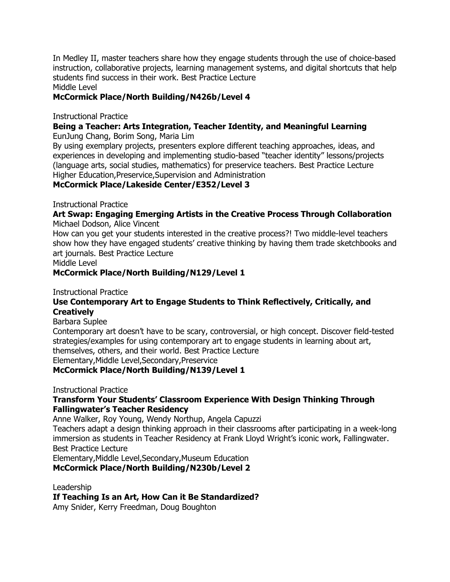In Medley II, master teachers share how they engage students through the use of choice-based instruction, collaborative projects, learning management systems, and digital shortcuts that help students find success in their work. Best Practice Lecture

Middle Level

### **McCormick Place/North Building/N426b/Level 4**

Instructional Practice

## **Being a Teacher: Arts Integration, Teacher Identity, and Meaningful Learning**

EunJung Chang, Borim Song, Maria Lim

By using exemplary projects, presenters explore different teaching approaches, ideas, and experiences in developing and implementing studio-based "teacher identity" lessons/projects (language arts, social studies, mathematics) for preservice teachers. Best Practice Lecture Higher Education,Preservice,Supervision and Administration

### **McCormick Place/Lakeside Center/E352/Level 3**

Instructional Practice

#### **Art Swap: Engaging Emerging Artists in the Creative Process Through Collaboration** Michael Dodson, Alice Vincent

How can you get your students interested in the creative process?! Two middle-level teachers show how they have engaged students' creative thinking by having them trade sketchbooks and art journals. Best Practice Lecture

Middle Level

### **McCormick Place/North Building/N129/Level 1**

Instructional Practice

### **Use Contemporary Art to Engage Students to Think Reflectively, Critically, and Creatively**

Barbara Suplee

Contemporary art doesn't have to be scary, controversial, or high concept. Discover field-tested strategies/examples for using contemporary art to engage students in learning about art, themselves, others, and their world. Best Practice Lecture Elementary,Middle Level,Secondary,Preservice

### **McCormick Place/North Building/N139/Level 1**

Instructional Practice

### **Transform Your Students' Classroom Experience With Design Thinking Through Fallingwater's Teacher Residency**

Anne Walker, Roy Young, Wendy Northup, Angela Capuzzi

Teachers adapt a design thinking approach in their classrooms after participating in a week-long immersion as students in Teacher Residency at Frank Lloyd Wright's iconic work, Fallingwater. Best Practice Lecture

Elementary,Middle Level,Secondary,Museum Education

**McCormick Place/North Building/N230b/Level 2**

Leadership **If Teaching Is an Art, How Can it Be Standardized?** Amy Snider, Kerry Freedman, Doug Boughton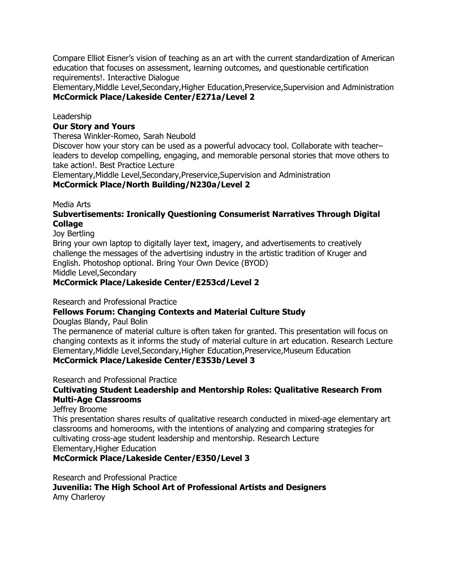Compare Elliot Eisner's vision of teaching as an art with the current standardization of American education that focuses on assessment, learning outcomes, and questionable certification requirements!. Interactive Dialogue

Elementary,Middle Level,Secondary,Higher Education,Preservice,Supervision and Administration **McCormick Place/Lakeside Center/E271a/Level 2**

Leadership

### **Our Story and Yours**

Theresa Winkler-Romeo, Sarah Neubold

Discover how your story can be used as a powerful advocacy tool. Collaborate with teacher– leaders to develop compelling, engaging, and memorable personal stories that move others to take action!. Best Practice Lecture

Elementary,Middle Level,Secondary,Preservice,Supervision and Administration

### **McCormick Place/North Building/N230a/Level 2**

Media Arts

### **Subvertisements: Ironically Questioning Consumerist Narratives Through Digital Collage**

Joy Bertling

Bring your own laptop to digitally layer text, imagery, and advertisements to creatively challenge the messages of the advertising industry in the artistic tradition of Kruger and English. Photoshop optional. Bring Your Own Device (BYOD) Middle Level,Secondary

### **McCormick Place/Lakeside Center/E253cd/Level 2**

Research and Professional Practice

## **Fellows Forum: Changing Contexts and Material Culture Study**

Douglas Blandy, Paul Bolin

The permanence of material culture is often taken for granted. This presentation will focus on changing contexts as it informs the study of material culture in art education. Research Lecture Elementary,Middle Level,Secondary,Higher Education,Preservice,Museum Education **McCormick Place/Lakeside Center/E353b/Level 3**

Research and Professional Practice

### **Cultivating Student Leadership and Mentorship Roles: Qualitative Research From Multi-Age Classrooms**

Jeffrey Broome

This presentation shares results of qualitative research conducted in mixed-age elementary art classrooms and homerooms, with the intentions of analyzing and comparing strategies for cultivating cross-age student leadership and mentorship. Research Lecture Elementary,Higher Education

**McCormick Place/Lakeside Center/E350/Level 3**

Research and Professional Practice

**Juvenilia: The High School Art of Professional Artists and Designers** Amy Charleroy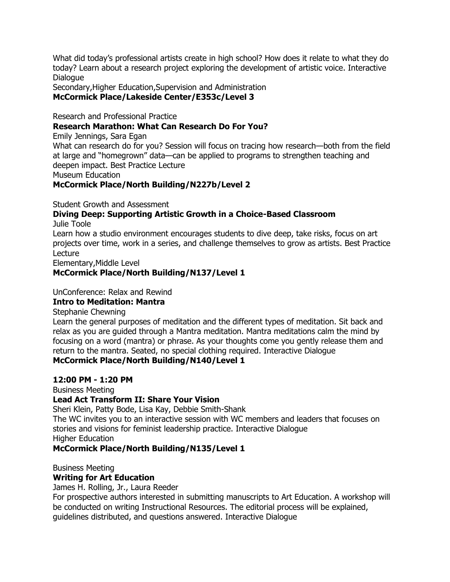What did today's professional artists create in high school? How does it relate to what they do today? Learn about a research project exploring the development of artistic voice. Interactive **Dialogue** 

Secondary,Higher Education,Supervision and Administration **McCormick Place/Lakeside Center/E353c/Level 3**

Research and Professional Practice

### **Research Marathon: What Can Research Do For You?**

Emily Jennings, Sara Egan

What can research do for you? Session will focus on tracing how research—both from the field at large and "homegrown" data—can be applied to programs to strengthen teaching and deepen impact. Best Practice Lecture

Museum Education

### **McCormick Place/North Building/N227b/Level 2**

Student Growth and Assessment

## **Diving Deep: Supporting Artistic Growth in a Choice-Based Classroom**

Julie Toole

Learn how a studio environment encourages students to dive deep, take risks, focus on art projects over time, work in a series, and challenge themselves to grow as artists. Best Practice Lecture

Elementary,Middle Level

### **McCormick Place/North Building/N137/Level 1**

### UnConference: Relax and Rewind

### **Intro to Meditation: Mantra**

Stephanie Chewning

Learn the general purposes of meditation and the different types of meditation. Sit back and relax as you are guided through a Mantra meditation. Mantra meditations calm the mind by focusing on a word (mantra) or phrase. As your thoughts come you gently release them and return to the mantra. Seated, no special clothing required. Interactive Dialogue **McCormick Place/North Building/N140/Level 1**

#### **12:00 PM - 1:20 PM**

Business Meeting

### **Lead Act Transform II: Share Your Vision**

Sheri Klein, Patty Bode, Lisa Kay, Debbie Smith-Shank

The WC invites you to an interactive session with WC members and leaders that focuses on stories and visions for feminist leadership practice. Interactive Dialogue Higher Education

### **McCormick Place/North Building/N135/Level 1**

Business Meeting

### **Writing for Art Education**

James H. Rolling, Jr., Laura Reeder

For prospective authors interested in submitting manuscripts to Art Education. A workshop will be conducted on writing Instructional Resources. The editorial process will be explained, guidelines distributed, and questions answered. Interactive Dialogue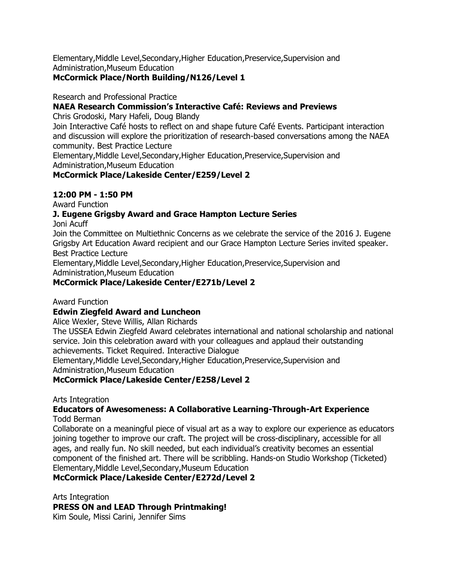Elementary,Middle Level,Secondary,Higher Education,Preservice,Supervision and Administration,Museum Education

### **McCormick Place/North Building/N126/Level 1**

Research and Professional Practice

### **NAEA Research Commission's Interactive Café: Reviews and Previews**

Chris Grodoski, Mary Hafeli, Doug Blandy

Join Interactive Café hosts to reflect on and shape future Café Events. Participant interaction and discussion will explore the prioritization of research-based conversations among the NAEA community. Best Practice Lecture

Elementary,Middle Level,Secondary,Higher Education,Preservice,Supervision and Administration,Museum Education

### **McCormick Place/Lakeside Center/E259/Level 2**

### **12:00 PM - 1:50 PM**

Award Function

### **J. Eugene Grigsby Award and Grace Hampton Lecture Series**

Joni Acuff

Join the Committee on Multiethnic Concerns as we celebrate the service of the 2016 J. Eugene Grigsby Art Education Award recipient and our Grace Hampton Lecture Series invited speaker. Best Practice Lecture

Elementary,Middle Level,Secondary,Higher Education,Preservice,Supervision and Administration,Museum Education

### **McCormick Place/Lakeside Center/E271b/Level 2**

Award Function

### **Edwin Ziegfeld Award and Luncheon**

Alice Wexler, Steve Willis, Allan Richards

The USSEA Edwin Ziegfeld Award celebrates international and national scholarship and national service. Join this celebration award with your colleagues and applaud their outstanding achievements. Ticket Required. Interactive Dialogue

Elementary,Middle Level,Secondary,Higher Education,Preservice,Supervision and Administration,Museum Education

## **McCormick Place/Lakeside Center/E258/Level 2**

Arts Integration

#### **Educators of Awesomeness: A Collaborative Learning-Through-Art Experience** Todd Berman

Collaborate on a meaningful piece of visual art as a way to explore our experience as educators joining together to improve our craft. The project will be cross-disciplinary, accessible for all ages, and really fun. No skill needed, but each individual's creativity becomes an essential component of the finished art. There will be scribbling. Hands-on Studio Workshop (Ticketed) Elementary,Middle Level,Secondary,Museum Education

### **McCormick Place/Lakeside Center/E272d/Level 2**

Arts Integration

**PRESS ON and LEAD Through Printmaking!**

Kim Soule, Missi Carini, Jennifer Sims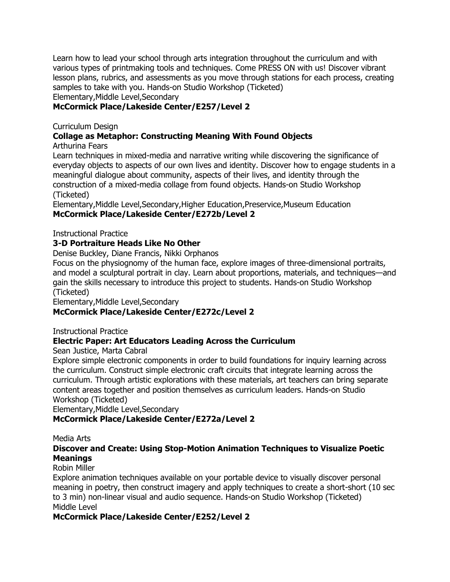Learn how to lead your school through arts integration throughout the curriculum and with various types of printmaking tools and techniques. Come PRESS ON with us! Discover vibrant lesson plans, rubrics, and assessments as you move through stations for each process, creating samples to take with you. Hands-on Studio Workshop (Ticketed) Elementary,Middle Level,Secondary

### **McCormick Place/Lakeside Center/E257/Level 2**

### Curriculum Design

## **Collage as Metaphor: Constructing Meaning With Found Objects**

Arthurina Fears

Learn techniques in mixed-media and narrative writing while discovering the significance of everyday objects to aspects of our own lives and identity. Discover how to engage students in a meaningful dialogue about community, aspects of their lives, and identity through the construction of a mixed-media collage from found objects. Hands-on Studio Workshop (Ticketed)

Elementary,Middle Level,Secondary,Higher Education,Preservice,Museum Education **McCormick Place/Lakeside Center/E272b/Level 2**

Instructional Practice

### **3-D Portraiture Heads Like No Other**

Denise Buckley, Diane Francis, Nikki Orphanos

Focus on the physiognomy of the human face, explore images of three-dimensional portraits, and model a sculptural portrait in clay. Learn about proportions, materials, and techniques—and gain the skills necessary to introduce this project to students. Hands-on Studio Workshop (Ticketed)

Elementary,Middle Level,Secondary

### **McCormick Place/Lakeside Center/E272c/Level 2**

Instructional Practice

### **Electric Paper: Art Educators Leading Across the Curriculum**

Sean Justice, Marta Cabral

Explore simple electronic components in order to build foundations for inquiry learning across the curriculum. Construct simple electronic craft circuits that integrate learning across the curriculum. Through artistic explorations with these materials, art teachers can bring separate content areas together and position themselves as curriculum leaders. Hands-on Studio Workshop (Ticketed)

Elementary,Middle Level,Secondary

### **McCormick Place/Lakeside Center/E272a/Level 2**

Media Arts

### **Discover and Create: Using Stop-Motion Animation Techniques to Visualize Poetic Meanings**

### Robin Miller

Explore animation techniques available on your portable device to visually discover personal meaning in poetry, then construct imagery and apply techniques to create a short-short (10 sec to 3 min) non-linear visual and audio sequence. Hands-on Studio Workshop (Ticketed) Middle Level

### **McCormick Place/Lakeside Center/E252/Level 2**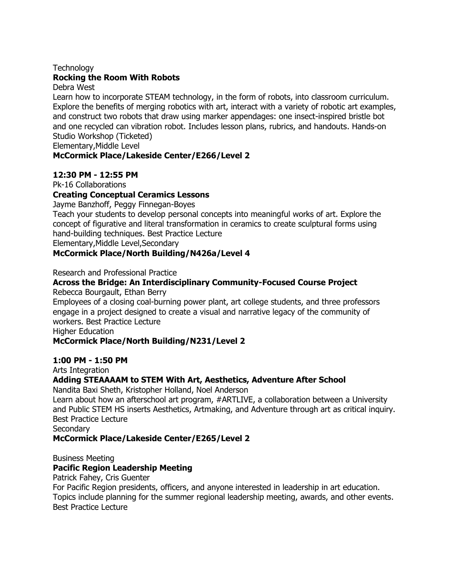### **Technology**

### **Rocking the Room With Robots**

#### Debra West

Learn how to incorporate STEAM technology, in the form of robots, into classroom curriculum. Explore the benefits of merging robotics with art, interact with a variety of robotic art examples, and construct two robots that draw using marker appendages: one insect-inspired bristle bot and one recycled can vibration robot. Includes lesson plans, rubrics, and handouts. Hands-on Studio Workshop (Ticketed)

Elementary,Middle Level

### **McCormick Place/Lakeside Center/E266/Level 2**

### **12:30 PM - 12:55 PM**

Pk-16 Collaborations

### **Creating Conceptual Ceramics Lessons**

Jayme Banzhoff, Peggy Finnegan-Boyes

Teach your students to develop personal concepts into meaningful works of art. Explore the concept of figurative and literal transformation in ceramics to create sculptural forms using hand-building techniques. Best Practice Lecture

Elementary,Middle Level,Secondary

### **McCormick Place/North Building/N426a/Level 4**

Research and Professional Practice

## **Across the Bridge: An Interdisciplinary Community-Focused Course Project**

Rebecca Bourgault, Ethan Berry

Employees of a closing coal-burning power plant, art college students, and three professors engage in a project designed to create a visual and narrative legacy of the community of workers. Best Practice Lecture

Higher Education

#### **McCormick Place/North Building/N231/Level 2**

#### **1:00 PM - 1:50 PM**

Arts Integration

#### **Adding STEAAAAM to STEM With Art, Aesthetics, Adventure After School**

Nandita Baxi Sheth, Kristopher Holland, Noel Anderson

Learn about how an afterschool art program, #ARTLIVE, a collaboration between a University and Public STEM HS inserts Aesthetics, Artmaking, and Adventure through art as critical inquiry. Best Practice Lecture

**Secondary** 

#### **McCormick Place/Lakeside Center/E265/Level 2**

Business Meeting

### **Pacific Region Leadership Meeting**

Patrick Fahey, Cris Guenter

For Pacific Region presidents, officers, and anyone interested in leadership in art education. Topics include planning for the summer regional leadership meeting, awards, and other events. Best Practice Lecture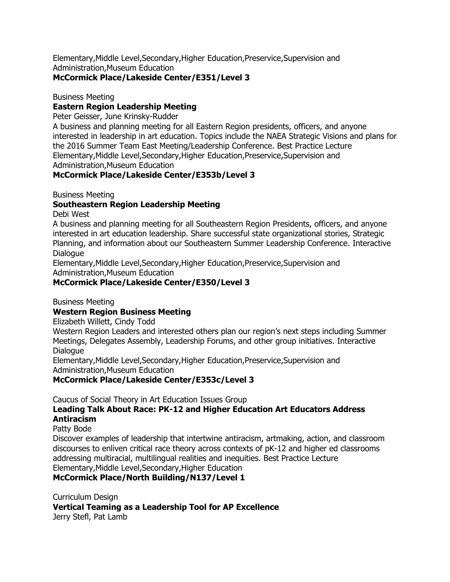Elementary,Middle Level,Secondary,Higher Education,Preservice,Supervision and Administration,Museum Education

### **McCormick Place/Lakeside Center/E351/Level 3**

Business Meeting

### **Eastern Region Leadership Meeting**

Peter Geisser, June Krinsky-Rudder

A business and planning meeting for all Eastern Region presidents, officers, and anyone interested in leadership in art education. Topics include the NAEA Strategic Visions and plans for the 2016 Summer Team East Meeting/Leadership Conference. Best Practice Lecture Elementary,Middle Level,Secondary,Higher Education,Preservice,Supervision and Administration,Museum Education

### **McCormick Place/Lakeside Center/E353b/Level 3**

Business Meeting

### **Southeastern Region Leadership Meeting**

Debi West

A business and planning meeting for all Southeastern Region Presidents, officers, and anyone interested in art education leadership. Share successful state organizational stories, Strategic Planning, and information about our Southeastern Summer Leadership Conference. Interactive Dialogue

Elementary,Middle Level,Secondary,Higher Education,Preservice,Supervision and Administration,Museum Education

## **McCormick Place/Lakeside Center/E350/Level 3**

Business Meeting

## **Western Region Business Meeting**

Elizabeth Willett, Cindy Todd

Western Region Leaders and interested others plan our region's next steps including Summer Meetings, Delegates Assembly, Leadership Forums, and other group initiatives. Interactive Dialogue

Elementary,Middle Level,Secondary,Higher Education,Preservice,Supervision and Administration,Museum Education

## **McCormick Place/Lakeside Center/E353c/Level 3**

Caucus of Social Theory in Art Education Issues Group

## **Leading Talk About Race: PK-12 and Higher Education Art Educators Address Antiracism**

#### Patty Bode

Discover examples of leadership that intertwine antiracism, artmaking, action, and classroom discourses to enliven critical race theory across contexts of pK-12 and higher ed classrooms addressing multiracial, multilingual realities and inequities. Best Practice Lecture Elementary,Middle Level,Secondary,Higher Education

### **McCormick Place/North Building/N137/Level 1**

Curriculum Design

**Vertical Teaming as a Leadership Tool for AP Excellence** Jerry Stefl, Pat Lamb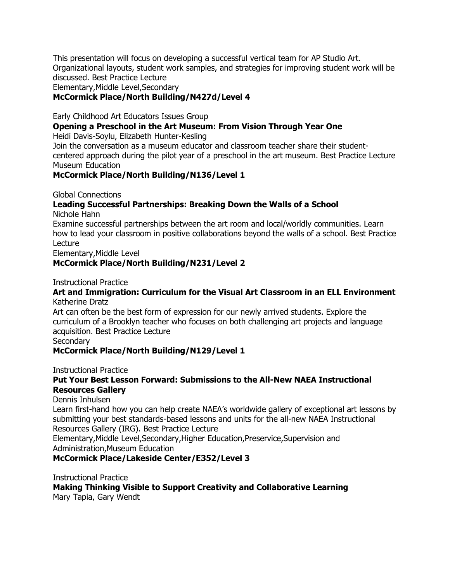This presentation will focus on developing a successful vertical team for AP Studio Art. Organizational layouts, student work samples, and strategies for improving student work will be discussed. Best Practice Lecture

Elementary,Middle Level,Secondary

### **McCormick Place/North Building/N427d/Level 4**

Early Childhood Art Educators Issues Group

### **Opening a Preschool in the Art Museum: From Vision Through Year One**

Heidi Davis-Soylu, Elizabeth Hunter-Kesling

Join the conversation as a museum educator and classroom teacher share their studentcentered approach during the pilot year of a preschool in the art museum. Best Practice Lecture Museum Education

### **McCormick Place/North Building/N136/Level 1**

Global Connections

#### **Leading Successful Partnerships: Breaking Down the Walls of a School** Nichole Hahn

Examine successful partnerships between the art room and local/worldly communities. Learn how to lead your classroom in positive collaborations beyond the walls of a school. Best Practice Lecture

Elementary,Middle Level

### **McCormick Place/North Building/N231/Level 2**

Instructional Practice

#### **Art and Immigration: Curriculum for the Visual Art Classroom in an ELL Environment** Katherine Dratz

Art can often be the best form of expression for our newly arrived students. Explore the curriculum of a Brooklyn teacher who focuses on both challenging art projects and language acquisition. Best Practice Lecture

**Secondary** 

### **McCormick Place/North Building/N129/Level 1**

Instructional Practice

### **Put Your Best Lesson Forward: Submissions to the All-New NAEA Instructional Resources Gallery**

#### Dennis Inhulsen

Learn first-hand how you can help create NAEA's worldwide gallery of exceptional art lessons by submitting your best standards-based lessons and units for the all-new NAEA Instructional Resources Gallery (IRG). Best Practice Lecture

Elementary,Middle Level,Secondary,Higher Education,Preservice,Supervision and Administration,Museum Education

### **McCormick Place/Lakeside Center/E352/Level 3**

Instructional Practice

**Making Thinking Visible to Support Creativity and Collaborative Learning** Mary Tapia, Gary Wendt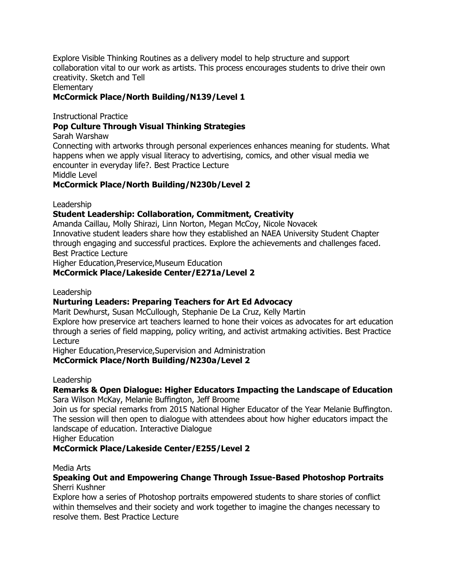Explore Visible Thinking Routines as a delivery model to help structure and support collaboration vital to our work as artists. This process encourages students to drive their own creativity. Sketch and Tell

**Elementary** 

### **McCormick Place/North Building/N139/Level 1**

Instructional Practice

### **Pop Culture Through Visual Thinking Strategies**

#### Sarah Warshaw

Connecting with artworks through personal experiences enhances meaning for students. What happens when we apply visual literacy to advertising, comics, and other visual media we encounter in everyday life?. Best Practice Lecture

Middle Level

### **McCormick Place/North Building/N230b/Level 2**

Leadership

### **Student Leadership: Collaboration, Commitment, Creativity**

Amanda Caillau, Molly Shirazi, Linn Norton, Megan McCoy, Nicole Novacek Innovative student leaders share how they established an NAEA University Student Chapter through engaging and successful practices. Explore the achievements and challenges faced. Best Practice Lecture

Higher Education,Preservice,Museum Education

### **McCormick Place/Lakeside Center/E271a/Level 2**

Leadership

#### **Nurturing Leaders: Preparing Teachers for Art Ed Advocacy**

Marit Dewhurst, Susan McCullough, Stephanie De La Cruz, Kelly Martin

Explore how preservice art teachers learned to hone their voices as advocates for art education through a series of field mapping, policy writing, and activist artmaking activities. Best Practice Lecture

Higher Education,Preservice,Supervision and Administration

### **McCormick Place/North Building/N230a/Level 2**

Leadership

#### **Remarks & Open Dialogue: Higher Educators Impacting the Landscape of Education** Sara Wilson McKay, Melanie Buffington, Jeff Broome

Join us for special remarks from 2015 National Higher Educator of the Year Melanie Buffington. The session will then open to dialogue with attendees about how higher educators impact the landscape of education. Interactive Dialogue

Higher Education

#### **McCormick Place/Lakeside Center/E255/Level 2**

Media Arts

#### **Speaking Out and Empowering Change Through Issue-Based Photoshop Portraits** Sherri Kushner

Explore how a series of Photoshop portraits empowered students to share stories of conflict within themselves and their society and work together to imagine the changes necessary to resolve them. Best Practice Lecture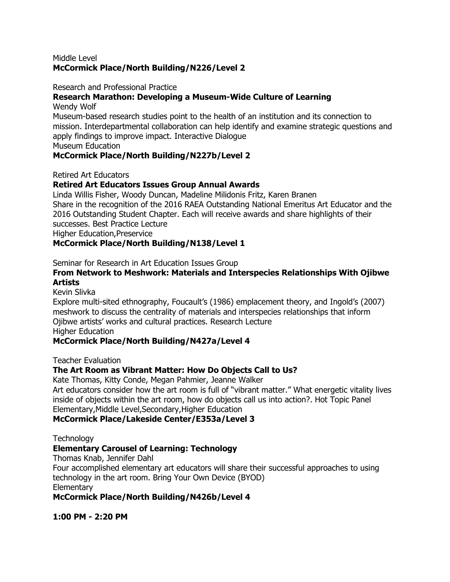#### Middle Level **McCormick Place/North Building/N226/Level 2**

#### Research and Professional Practice

### **Research Marathon: Developing a Museum-Wide Culture of Learning**

Wendy Wolf

Museum-based research studies point to the health of an institution and its connection to mission. Interdepartmental collaboration can help identify and examine strategic questions and apply findings to improve impact. Interactive Dialogue

Museum Education

### **McCormick Place/North Building/N227b/Level 2**

Retired Art Educators

### **Retired Art Educators Issues Group Annual Awards**

Linda Willis Fisher, Woody Duncan, Madeline Milidonis Fritz, Karen Branen Share in the recognition of the 2016 RAEA Outstanding National Emeritus Art Educator and the 2016 Outstanding Student Chapter. Each will receive awards and share highlights of their successes. Best Practice Lecture Higher Education,Preservice

### **McCormick Place/North Building/N138/Level 1**

Seminar for Research in Art Education Issues Group

### **From Network to Meshwork: Materials and Interspecies Relationships With Ojibwe Artists**

Kevin Slivka

Explore multi-sited ethnography, Foucault's (1986) emplacement theory, and Ingold's (2007) meshwork to discuss the centrality of materials and interspecies relationships that inform Ojibwe artists' works and cultural practices. Research Lecture Higher Education

### **McCormick Place/North Building/N427a/Level 4**

Teacher Evaluation

### **The Art Room as Vibrant Matter: How Do Objects Call to Us?**

Kate Thomas, Kitty Conde, Megan Pahmier, Jeanne Walker

Art educators consider how the art room is full of "vibrant matter." What energetic vitality lives inside of objects within the art room, how do objects call us into action?. Hot Topic Panel Elementary,Middle Level,Secondary,Higher Education

### **McCormick Place/Lakeside Center/E353a/Level 3**

**Technology** 

### **Elementary Carousel of Learning: Technology**

Thomas Knab, Jennifer Dahl

Four accomplished elementary art educators will share their successful approaches to using technology in the art room. Bring Your Own Device (BYOD) **Elementary** 

**McCormick Place/North Building/N426b/Level 4**

**1:00 PM - 2:20 PM**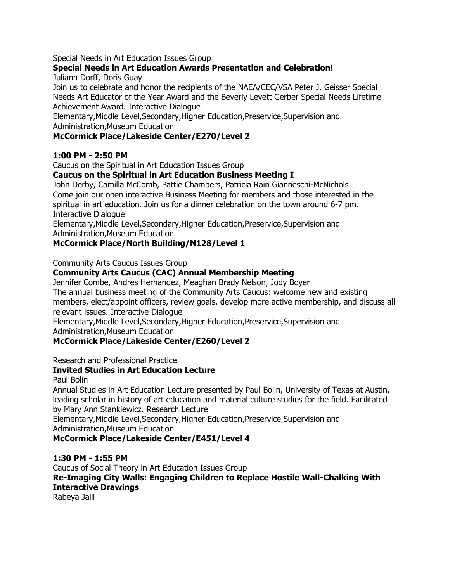Special Needs in Art Education Issues Group

## **Special Needs in Art Education Awards Presentation and Celebration!**

Juliann Dorff, Doris Guay

Join us to celebrate and honor the recipients of the NAEA/CEC/VSA Peter J. Geisser Special Needs Art Educator of the Year Award and the Beverly Levett Gerber Special Needs Lifetime Achievement Award. Interactive Dialogue

Elementary,Middle Level,Secondary,Higher Education,Preservice,Supervision and Administration,Museum Education

### **McCormick Place/Lakeside Center/E270/Level 2**

### **1:00 PM - 2:50 PM**

Caucus on the Spiritual in Art Education Issues Group

### **Caucus on the Spiritual in Art Education Business Meeting I**

John Derby, Camilla McComb, Pattie Chambers, Patricia Rain Gianneschi-McNichols Come join our open interactive Business Meeting for members and those interested in the spiritual in art education. Join us for a dinner celebration on the town around 6-7 pm. Interactive Dialogue

Elementary,Middle Level,Secondary,Higher Education,Preservice,Supervision and Administration,Museum Education

### **McCormick Place/North Building/N128/Level 1**

Community Arts Caucus Issues Group

### **Community Arts Caucus (CAC) Annual Membership Meeting**

Jennifer Combe, Andres Hernandez, Meaghan Brady Nelson, Jody Boyer The annual business meeting of the Community Arts Caucus: welcome new and existing members, elect/appoint officers, review goals, develop more active membership, and discuss all relevant issues. Interactive Dialogue

Elementary,Middle Level,Secondary,Higher Education,Preservice,Supervision and Administration,Museum Education

### **McCormick Place/Lakeside Center/E260/Level 2**

Research and Professional Practice

### **Invited Studies in Art Education Lecture**

Paul Bolin

Annual Studies in Art Education Lecture presented by Paul Bolin, University of Texas at Austin, leading scholar in history of art education and material culture studies for the field. Facilitated by Mary Ann Stankiewicz. Research Lecture

Elementary,Middle Level,Secondary,Higher Education,Preservice,Supervision and Administration,Museum Education

### **McCormick Place/Lakeside Center/E451/Level 4**

### **1:30 PM - 1:55 PM**

Caucus of Social Theory in Art Education Issues Group **Re-Imaging City Walls: Engaging Children to Replace Hostile Wall-Chalking With Interactive Drawings** Rabeya Jalil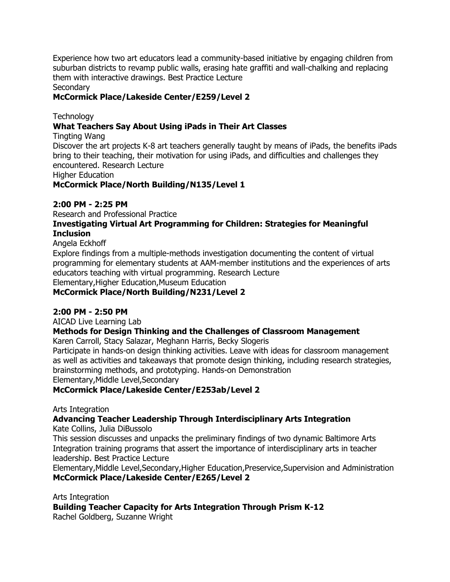Experience how two art educators lead a community-based initiative by engaging children from suburban districts to revamp public walls, erasing hate graffiti and wall-chalking and replacing them with interactive drawings. Best Practice Lecture

Secondary

### **McCormick Place/Lakeside Center/E259/Level 2**

**Technology** 

### **What Teachers Say About Using iPads in Their Art Classes**

Tingting Wang

Discover the art projects K-8 art teachers generally taught by means of iPads, the benefits iPads bring to their teaching, their motivation for using iPads, and difficulties and challenges they encountered. Research Lecture

Higher Education

**McCormick Place/North Building/N135/Level 1**

#### **2:00 PM - 2:25 PM**

Research and Professional Practice

### **Investigating Virtual Art Programming for Children: Strategies for Meaningful Inclusion**

Angela Eckhoff

Explore findings from a multiple-methods investigation documenting the content of virtual programming for elementary students at AAM-member institutions and the experiences of arts educators teaching with virtual programming. Research Lecture

Elementary,Higher Education,Museum Education

**McCormick Place/North Building/N231/Level 2**

### **2:00 PM - 2:50 PM**

AICAD Live Learning Lab

#### **Methods for Design Thinking and the Challenges of Classroom Management**

Karen Carroll, Stacy Salazar, Meghann Harris, Becky Slogeris

Participate in hands-on design thinking activities. Leave with ideas for classroom management as well as activities and takeaways that promote design thinking, including research strategies, brainstorming methods, and prototyping. Hands-on Demonstration

Elementary,Middle Level,Secondary

#### **McCormick Place/Lakeside Center/E253ab/Level 2**

Arts Integration

### **Advancing Teacher Leadership Through Interdisciplinary Arts Integration**

Kate Collins, Julia DiBussolo

This session discusses and unpacks the preliminary findings of two dynamic Baltimore Arts Integration training programs that assert the importance of interdisciplinary arts in teacher leadership. Best Practice Lecture

Elementary,Middle Level,Secondary,Higher Education,Preservice,Supervision and Administration **McCormick Place/Lakeside Center/E265/Level 2**

Arts Integration

**Building Teacher Capacity for Arts Integration Through Prism K-12** Rachel Goldberg, Suzanne Wright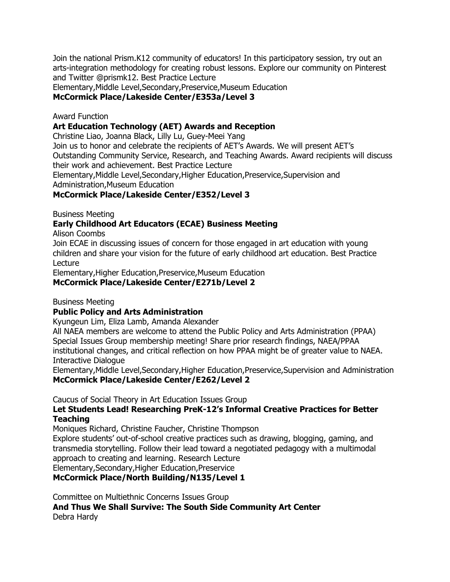Join the national Prism.K12 community of educators! In this participatory session, try out an arts-integration methodology for creating robust lessons. Explore our community on Pinterest and Twitter @prismk12. Best Practice Lecture

Elementary,Middle Level,Secondary,Preservice,Museum Education

### **McCormick Place/Lakeside Center/E353a/Level 3**

### Award Function

### **Art Education Technology (AET) Awards and Reception**

Christine Liao, Joanna Black, Lilly Lu, Guey-Meei Yang

Join us to honor and celebrate the recipients of AET's Awards. We will present AET's Outstanding Community Service, Research, and Teaching Awards. Award recipients will discuss their work and achievement. Best Practice Lecture

Elementary,Middle Level,Secondary,Higher Education,Preservice,Supervision and

Administration,Museum Education

### **McCormick Place/Lakeside Center/E352/Level 3**

Business Meeting

### **Early Childhood Art Educators (ECAE) Business Meeting**

Alison Coombs

Join ECAE in discussing issues of concern for those engaged in art education with young children and share your vision for the future of early childhood art education. Best Practice Lecture

Elementary,Higher Education,Preservice,Museum Education

**McCormick Place/Lakeside Center/E271b/Level 2**

Business Meeting

### **Public Policy and Arts Administration**

Kyungeun Lim, Eliza Lamb, Amanda Alexander

All NAEA members are welcome to attend the Public Policy and Arts Administration (PPAA) Special Issues Group membership meeting! Share prior research findings, NAEA/PPAA institutional changes, and critical reflection on how PPAA might be of greater value to NAEA. Interactive Dialogue

Elementary,Middle Level,Secondary,Higher Education,Preservice,Supervision and Administration **McCormick Place/Lakeside Center/E262/Level 2**

Caucus of Social Theory in Art Education Issues Group

### **Let Students Lead! Researching PreK-12's Informal Creative Practices for Better Teaching**

Moniques Richard, Christine Faucher, Christine Thompson

Explore students' out-of-school creative practices such as drawing, blogging, gaming, and transmedia storytelling. Follow their lead toward a negotiated pedagogy with a multimodal approach to creating and learning. Research Lecture

Elementary,Secondary,Higher Education,Preservice

### **McCormick Place/North Building/N135/Level 1**

Committee on Multiethnic Concerns Issues Group

**And Thus We Shall Survive: The South Side Community Art Center** Debra Hardy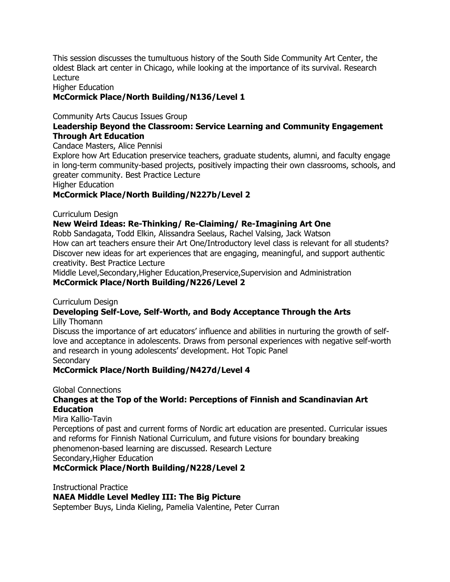This session discusses the tumultuous history of the South Side Community Art Center, the oldest Black art center in Chicago, while looking at the importance of its survival. Research Lecture

Higher Education

### **McCormick Place/North Building/N136/Level 1**

Community Arts Caucus Issues Group

### **Leadership Beyond the Classroom: Service Learning and Community Engagement Through Art Education**

Candace Masters, Alice Pennisi

Explore how Art Education preservice teachers, graduate students, alumni, and faculty engage in long-term community-based projects, positively impacting their own classrooms, schools, and greater community. Best Practice Lecture

Higher Education

### **McCormick Place/North Building/N227b/Level 2**

Curriculum Design

#### **New Weird Ideas: Re-Thinking/ Re-Claiming/ Re-Imagining Art One**

Robb Sandagata, Todd Elkin, Alissandra Seelaus, Rachel Valsing, Jack Watson How can art teachers ensure their Art One/Introductory level class is relevant for all students? Discover new ideas for art experiences that are engaging, meaningful, and support authentic creativity. Best Practice Lecture

Middle Level,Secondary,Higher Education,Preservice,Supervision and Administration **McCormick Place/North Building/N226/Level 2**

Curriculum Design

#### **Developing Self-Love, Self-Worth, and Body Acceptance Through the Arts**

Lilly Thomann

Discuss the importance of art educators' influence and abilities in nurturing the growth of selflove and acceptance in adolescents. Draws from personal experiences with negative self-worth and research in young adolescents' development. Hot Topic Panel **Secondary** 

#### **McCormick Place/North Building/N427d/Level 4**

#### Global Connections

### **Changes at the Top of the World: Perceptions of Finnish and Scandinavian Art Education**

Mira Kallio-Tavin

Perceptions of past and current forms of Nordic art education are presented. Curricular issues and reforms for Finnish National Curriculum, and future visions for boundary breaking phenomenon-based learning are discussed. Research Lecture Secondary,Higher Education

**McCormick Place/North Building/N228/Level 2**

Instructional Practice

**NAEA Middle Level Medley III: The Big Picture**

September Buys, Linda Kieling, Pamelia Valentine, Peter Curran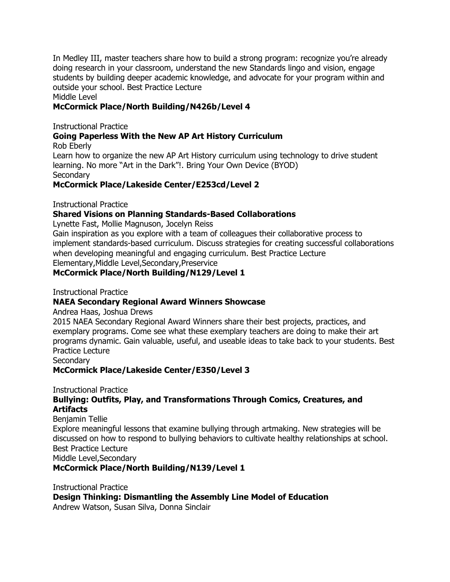In Medley III, master teachers share how to build a strong program: recognize you're already doing research in your classroom, understand the new Standards lingo and vision, engage students by building deeper academic knowledge, and advocate for your program within and outside your school. Best Practice Lecture Middle Level

### **McCormick Place/North Building/N426b/Level 4**

Instructional Practice

### **Going Paperless With the New AP Art History Curriculum**

Rob Eberly Learn how to organize the new AP Art History curriculum using technology to drive student learning. No more "Art in the Dark"!. Bring Your Own Device (BYOD) **Secondary** 

**McCormick Place/Lakeside Center/E253cd/Level 2**

Instructional Practice

### **Shared Visions on Planning Standards-Based Collaborations**

Lynette Fast, Mollie Magnuson, Jocelyn Reiss

Gain inspiration as you explore with a team of colleagues their collaborative process to implement standards-based curriculum. Discuss strategies for creating successful collaborations when developing meaningful and engaging curriculum. Best Practice Lecture Elementary,Middle Level,Secondary,Preservice

### **McCormick Place/North Building/N129/Level 1**

Instructional Practice

#### **NAEA Secondary Regional Award Winners Showcase**

Andrea Haas, Joshua Drews

2015 NAEA Secondary Regional Award Winners share their best projects, practices, and exemplary programs. Come see what these exemplary teachers are doing to make their art programs dynamic. Gain valuable, useful, and useable ideas to take back to your students. Best Practice Lecture

**Secondary** 

### **McCormick Place/Lakeside Center/E350/Level 3**

#### Instructional Practice

### **Bullying: Outfits, Play, and Transformations Through Comics, Creatures, and Artifacts**

Benjamin Tellie

Explore meaningful lessons that examine bullying through artmaking. New strategies will be discussed on how to respond to bullying behaviors to cultivate healthy relationships at school. Best Practice Lecture Middle Level,Secondary

#### **McCormick Place/North Building/N139/Level 1**

Instructional Practice **Design Thinking: Dismantling the Assembly Line Model of Education** Andrew Watson, Susan Silva, Donna Sinclair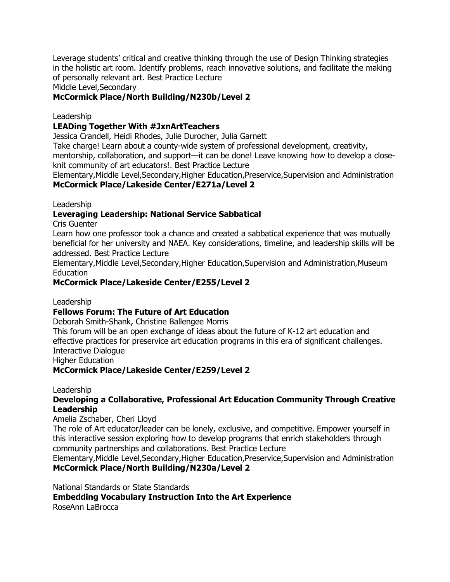Leverage students' critical and creative thinking through the use of Design Thinking strategies in the holistic art room. Identify problems, reach innovative solutions, and facilitate the making of personally relevant art. Best Practice Lecture

Middle Level,Secondary

### **McCormick Place/North Building/N230b/Level 2**

#### Leadership

### **LEADing Together With #JxnArtTeachers**

Jessica Crandell, Heidi Rhodes, Julie Durocher, Julia Garnett

Take charge! Learn about a county-wide system of professional development, creativity,

mentorship, collaboration, and support—it can be done! Leave knowing how to develop a closeknit community of art educators!. Best Practice Lecture

Elementary,Middle Level,Secondary,Higher Education,Preservice,Supervision and Administration **McCormick Place/Lakeside Center/E271a/Level 2**

Leadership

### **Leveraging Leadership: National Service Sabbatical**

Cris Guenter

Learn how one professor took a chance and created a sabbatical experience that was mutually beneficial for her university and NAEA. Key considerations, timeline, and leadership skills will be addressed. Best Practice Lecture

Elementary,Middle Level,Secondary,Higher Education,Supervision and Administration,Museum Education

### **McCormick Place/Lakeside Center/E255/Level 2**

Leadership

#### **Fellows Forum: The Future of Art Education**

Deborah Smith-Shank, Christine Ballengee Morris

This forum will be an open exchange of ideas about the future of K-12 art education and effective practices for preservice art education programs in this era of significant challenges. Interactive Dialogue

Higher Education

### **McCormick Place/Lakeside Center/E259/Level 2**

#### Leadership

### **Developing a Collaborative, Professional Art Education Community Through Creative Leadership**

#### Amelia Zschaber, Cheri Lloyd

The role of Art educator/leader can be lonely, exclusive, and competitive. Empower yourself in this interactive session exploring how to develop programs that enrich stakeholders through community partnerships and collaborations. Best Practice Lecture

Elementary,Middle Level,Secondary,Higher Education,Preservice,Supervision and Administration **McCormick Place/North Building/N230a/Level 2**

National Standards or State Standards **Embedding Vocabulary Instruction Into the Art Experience** RoseAnn LaBrocca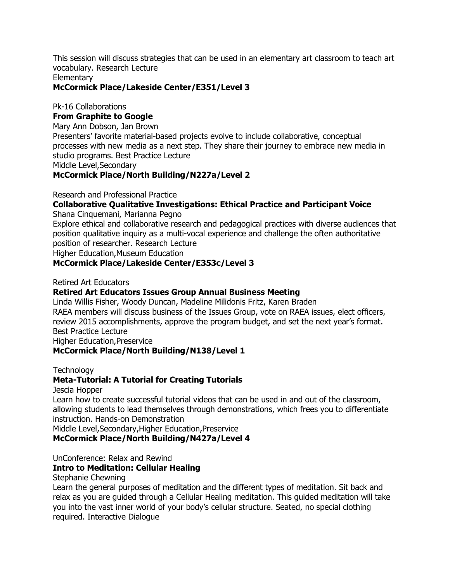This session will discuss strategies that can be used in an elementary art classroom to teach art vocabulary. Research Lecture

**Elementary** 

### **McCormick Place/Lakeside Center/E351/Level 3**

Pk-16 Collaborations

### **From Graphite to Google**

Mary Ann Dobson, Jan Brown

Presenters' favorite material-based projects evolve to include collaborative, conceptual processes with new media as a next step. They share their journey to embrace new media in studio programs. Best Practice Lecture

Middle Level,Secondary

### **McCormick Place/North Building/N227a/Level 2**

Research and Professional Practice

## **Collaborative Qualitative Investigations: Ethical Practice and Participant Voice**

Shana Cinquemani, Marianna Pegno

Explore ethical and collaborative research and pedagogical practices with diverse audiences that position qualitative inquiry as a multi-vocal experience and challenge the often authoritative position of researcher. Research Lecture

Higher Education,Museum Education

### **McCormick Place/Lakeside Center/E353c/Level 3**

### Retired Art Educators

### **Retired Art Educators Issues Group Annual Business Meeting**

Linda Willis Fisher, Woody Duncan, Madeline Milidonis Fritz, Karen Braden RAEA members will discuss business of the Issues Group, vote on RAEA issues, elect officers, review 2015 accomplishments, approve the program budget, and set the next year's format. Best Practice Lecture

Higher Education,Preservice

### **McCormick Place/North Building/N138/Level 1**

Technology

## **Meta-Tutorial: A Tutorial for Creating Tutorials**

Jescia Hopper

Learn how to create successful tutorial videos that can be used in and out of the classroom, allowing students to lead themselves through demonstrations, which frees you to differentiate instruction. Hands-on Demonstration

Middle Level,Secondary,Higher Education,Preservice

**McCormick Place/North Building/N427a/Level 4**

UnConference: Relax and Rewind

### **Intro to Meditation: Cellular Healing**

#### Stephanie Chewning

Learn the general purposes of meditation and the different types of meditation. Sit back and relax as you are guided through a Cellular Healing meditation. This guided meditation will take you into the vast inner world of your body's cellular structure. Seated, no special clothing required. Interactive Dialogue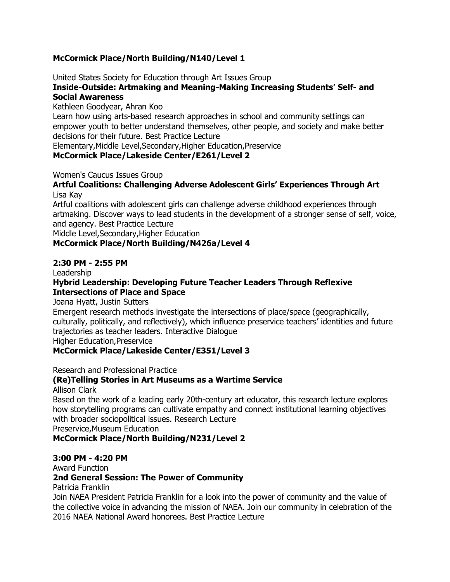### **McCormick Place/North Building/N140/Level 1**

United States Society for Education through Art Issues Group

#### **Inside-Outside: Artmaking and Meaning-Making Increasing Students' Self- and Social Awareness**

Kathleen Goodyear, Ahran Koo

Learn how using arts-based research approaches in school and community settings can empower youth to better understand themselves, other people, and society and make better decisions for their future. Best Practice Lecture

Elementary,Middle Level,Secondary,Higher Education,Preservice

### **McCormick Place/Lakeside Center/E261/Level 2**

Women's Caucus Issues Group

### **Artful Coalitions: Challenging Adverse Adolescent Girls' Experiences Through Art** Lisa Kay

Artful coalitions with adolescent girls can challenge adverse childhood experiences through artmaking. Discover ways to lead students in the development of a stronger sense of self, voice, and agency. Best Practice Lecture

Middle Level,Secondary,Higher Education

### **McCormick Place/North Building/N426a/Level 4**

### **2:30 PM - 2:55 PM**

Leadership

### **Hybrid Leadership: Developing Future Teacher Leaders Through Reflexive Intersections of Place and Space**

Joana Hyatt, Justin Sutters

Emergent research methods investigate the intersections of place/space (geographically, culturally, politically, and reflectively), which influence preservice teachers' identities and future trajectories as teacher leaders. Interactive Dialogue

Higher Education,Preservice

### **McCormick Place/Lakeside Center/E351/Level 3**

Research and Professional Practice

### **(Re)Telling Stories in Art Museums as a Wartime Service**

Allison Clark

Based on the work of a leading early 20th-century art educator, this research lecture explores how storytelling programs can cultivate empathy and connect institutional learning objectives with broader sociopolitical issues. Research Lecture Preservice,Museum Education

**McCormick Place/North Building/N231/Level 2**

### **3:00 PM - 4:20 PM**

Award Function

### **2nd General Session: The Power of Community**

Patricia Franklin

Join NAEA President Patricia Franklin for a look into the power of community and the value of the collective voice in advancing the mission of NAEA. Join our community in celebration of the 2016 NAEA National Award honorees. Best Practice Lecture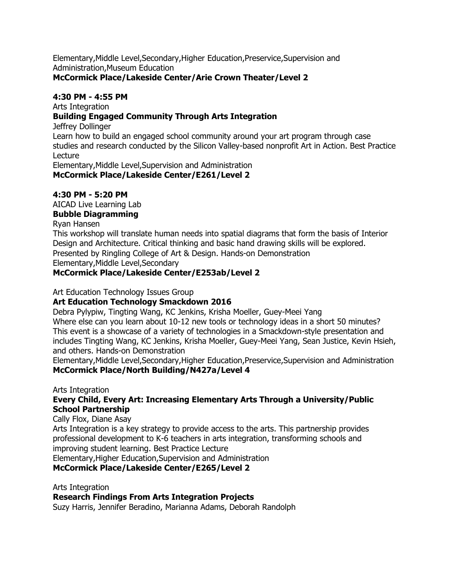Elementary,Middle Level,Secondary,Higher Education,Preservice,Supervision and Administration,Museum Education

### **McCormick Place/Lakeside Center/Arie Crown Theater/Level 2**

### **4:30 PM - 4:55 PM**

Arts Integration

### **Building Engaged Community Through Arts Integration**

Jeffrey Dollinger

Learn how to build an engaged school community around your art program through case studies and research conducted by the Silicon Valley-based nonprofit Art in Action. Best Practice Lecture

Elementary,Middle Level,Supervision and Administration

**McCormick Place/Lakeside Center/E261/Level 2**

## **4:30 PM - 5:20 PM**

AICAD Live Learning Lab

## **Bubble Diagramming**

Ryan Hansen

This workshop will translate human needs into spatial diagrams that form the basis of Interior Design and Architecture. Critical thinking and basic hand drawing skills will be explored. Presented by Ringling College of Art & Design. Hands-on Demonstration Elementary,Middle Level,Secondary

### **McCormick Place/Lakeside Center/E253ab/Level 2**

Art Education Technology Issues Group

### **Art Education Technology Smackdown 2016**

Debra Pylypiw, Tingting Wang, KC Jenkins, Krisha Moeller, Guey-Meei Yang Where else can you learn about 10-12 new tools or technology ideas in a short 50 minutes? This event is a showcase of a variety of technologies in a Smackdown-style presentation and includes Tingting Wang, KC Jenkins, Krisha Moeller, Guey-Meei Yang, Sean Justice, Kevin Hsieh, and others. Hands-on Demonstration

Elementary,Middle Level,Secondary,Higher Education,Preservice,Supervision and Administration **McCormick Place/North Building/N427a/Level 4**

Arts Integration

### **Every Child, Every Art: Increasing Elementary Arts Through a University/Public School Partnership**

Cally Flox, Diane Asay

Arts Integration is a key strategy to provide access to the arts. This partnership provides professional development to K-6 teachers in arts integration, transforming schools and improving student learning. Best Practice Lecture

Elementary,Higher Education,Supervision and Administration

## **McCormick Place/Lakeside Center/E265/Level 2**

Arts Integration

## **Research Findings From Arts Integration Projects**

Suzy Harris, Jennifer Beradino, Marianna Adams, Deborah Randolph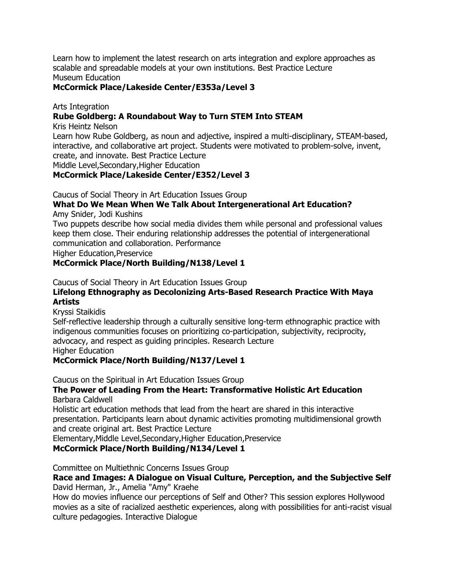Learn how to implement the latest research on arts integration and explore approaches as scalable and spreadable models at your own institutions. Best Practice Lecture Museum Education

### **McCormick Place/Lakeside Center/E353a/Level 3**

Arts Integration

### **Rube Goldberg: A Roundabout Way to Turn STEM Into STEAM**

Kris Heintz Nelson

Learn how Rube Goldberg, as noun and adjective, inspired a multi-disciplinary, STEAM-based, interactive, and collaborative art project. Students were motivated to problem-solve, invent, create, and innovate. Best Practice Lecture

Middle Level,Secondary,Higher Education

### **McCormick Place/Lakeside Center/E352/Level 3**

Caucus of Social Theory in Art Education Issues Group

# **What Do We Mean When We Talk About Intergenerational Art Education?**

Amy Snider, Jodi Kushins

Two puppets describe how social media divides them while personal and professional values keep them close. Their enduring relationship addresses the potential of intergenerational communication and collaboration. Performance

Higher Education,Preservice

### **McCormick Place/North Building/N138/Level 1**

Caucus of Social Theory in Art Education Issues Group

### **Lifelong Ethnography as Decolonizing Arts-Based Research Practice With Maya Artists**

Kryssi Staikidis

Self-reflective leadership through a culturally sensitive long-term ethnographic practice with indigenous communities focuses on prioritizing co-participation, subjectivity, reciprocity, advocacy, and respect as guiding principles. Research Lecture Higher Education

## **McCormick Place/North Building/N137/Level 1**

Caucus on the Spiritual in Art Education Issues Group

### **The Power of Leading From the Heart: Transformative Holistic Art Education** Barbara Caldwell

Holistic art education methods that lead from the heart are shared in this interactive presentation. Participants learn about dynamic activities promoting multidimensional growth and create original art. Best Practice Lecture

Elementary,Middle Level,Secondary,Higher Education,Preservice

**McCormick Place/North Building/N134/Level 1**

Committee on Multiethnic Concerns Issues Group

### **Race and Images: A Dialogue on Visual Culture, Perception, and the Subjective Self** David Herman, Jr., Amelia "Amy" Kraehe

How do movies influence our perceptions of Self and Other? This session explores Hollywood movies as a site of racialized aesthetic experiences, along with possibilities for anti-racist visual culture pedagogies. Interactive Dialogue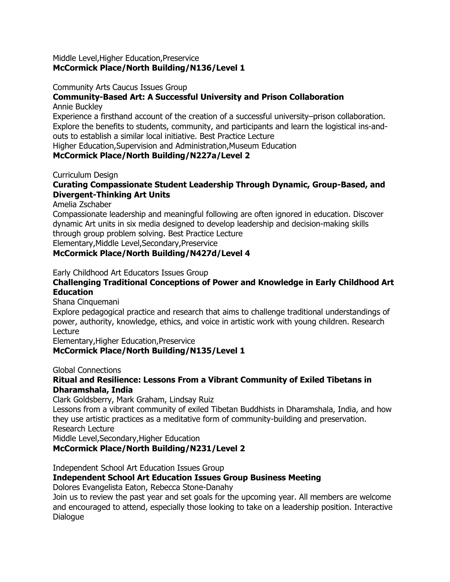#### Middle Level,Higher Education,Preservice **McCormick Place/North Building/N136/Level 1**

#### Community Arts Caucus Issues Group

### **Community-Based Art: A Successful University and Prison Collaboration**

#### Annie Buckley

Experience a firsthand account of the creation of a successful university–prison collaboration. Explore the benefits to students, community, and participants and learn the logistical ins-andouts to establish a similar local initiative. Best Practice Lecture

Higher Education,Supervision and Administration,Museum Education

### **McCormick Place/North Building/N227a/Level 2**

#### Curriculum Design

### **Curating Compassionate Student Leadership Through Dynamic, Group-Based, and Divergent-Thinking Art Units**

Amelia Zschaber

Compassionate leadership and meaningful following are often ignored in education. Discover dynamic Art units in six media designed to develop leadership and decision-making skills through group problem solving. Best Practice Lecture

Elementary,Middle Level,Secondary,Preservice

### **McCormick Place/North Building/N427d/Level 4**

Early Childhood Art Educators Issues Group

### **Challenging Traditional Conceptions of Power and Knowledge in Early Childhood Art Education**

Shana Cinquemani

Explore pedagogical practice and research that aims to challenge traditional understandings of power, authority, knowledge, ethics, and voice in artistic work with young children. Research Lecture

Elementary,Higher Education,Preservice

#### **McCormick Place/North Building/N135/Level 1**

Global Connections

### **Ritual and Resilience: Lessons From a Vibrant Community of Exiled Tibetans in Dharamshala, India**

Clark Goldsberry, Mark Graham, Lindsay Ruiz

Lessons from a vibrant community of exiled Tibetan Buddhists in Dharamshala, India, and how they use artistic practices as a meditative form of community-building and preservation. Research Lecture

Middle Level,Secondary,Higher Education

#### **McCormick Place/North Building/N231/Level 2**

Independent School Art Education Issues Group

#### **Independent School Art Education Issues Group Business Meeting**

Dolores Evangelista Eaton, Rebecca Stone-Danahy

Join us to review the past year and set goals for the upcoming year. All members are welcome and encouraged to attend, especially those looking to take on a leadership position. Interactive Dialogue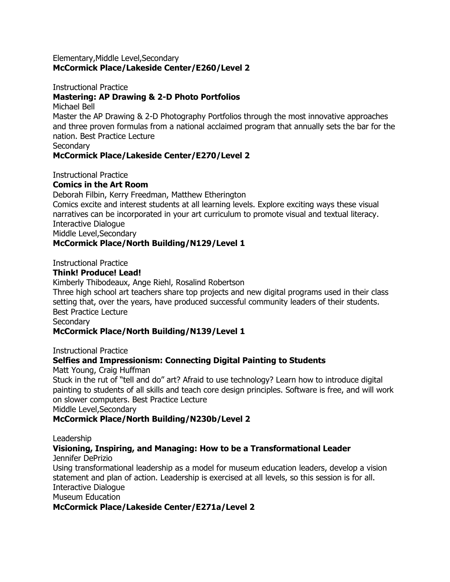#### Elementary,Middle Level,Secondary **McCormick Place/Lakeside Center/E260/Level 2**

#### Instructional Practice **Mastering: AP Drawing & 2-D Photo Portfolios**

Michael Bell

Master the AP Drawing & 2-D Photography Portfolios through the most innovative approaches and three proven formulas from a national acclaimed program that annually sets the bar for the nation. Best Practice Lecture

**Secondary** 

### **McCormick Place/Lakeside Center/E270/Level 2**

Instructional Practice

### **Comics in the Art Room**

Deborah Filbin, Kerry Freedman, Matthew Etherington Comics excite and interest students at all learning levels. Explore exciting ways these visual narratives can be incorporated in your art curriculum to promote visual and textual literacy. Interactive Dialogue

Middle Level,Secondary

### **McCormick Place/North Building/N129/Level 1**

Instructional Practice

### **Think! Produce! Lead!**

Kimberly Thibodeaux, Ange Riehl, Rosalind Robertson

Three high school art teachers share top projects and new digital programs used in their class setting that, over the years, have produced successful community leaders of their students. Best Practice Lecture

**Secondary** 

### **McCormick Place/North Building/N139/Level 1**

Instructional Practice

### **Selfies and Impressionism: Connecting Digital Painting to Students**

Matt Young, Craig Huffman

Stuck in the rut of "tell and do" art? Afraid to use technology? Learn how to introduce digital painting to students of all skills and teach core design principles. Software is free, and will work on slower computers. Best Practice Lecture

Middle Level,Secondary

### **McCormick Place/North Building/N230b/Level 2**

#### Leadership

#### **Visioning, Inspiring, and Managing: How to be a Transformational Leader** Jennifer DePrizio

Using transformational leadership as a model for museum education leaders, develop a vision statement and plan of action. Leadership is exercised at all levels, so this session is for all. Interactive Dialogue Museum Education

**McCormick Place/Lakeside Center/E271a/Level 2**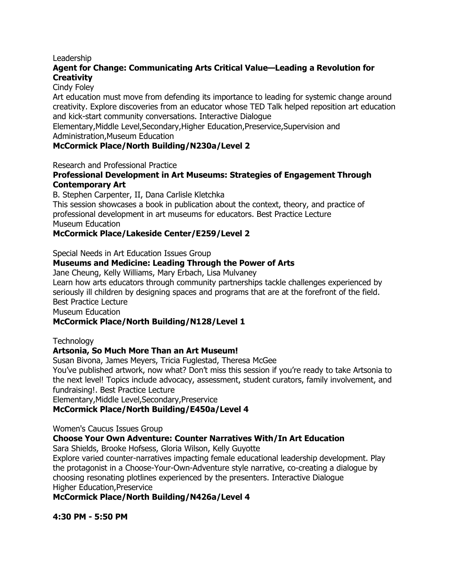### Leadership

### **Agent for Change: Communicating Arts Critical Value—Leading a Revolution for Creativity**

### Cindy Foley

Art education must move from defending its importance to leading for systemic change around creativity. Explore discoveries from an educator whose TED Talk helped reposition art education and kick-start community conversations. Interactive Dialogue

Elementary,Middle Level,Secondary,Higher Education,Preservice,Supervision and Administration,Museum Education

### **McCormick Place/North Building/N230a/Level 2**

Research and Professional Practice

### **Professional Development in Art Museums: Strategies of Engagement Through Contemporary Art**

B. Stephen Carpenter, II, Dana Carlisle Kletchka

This session showcases a book in publication about the context, theory, and practice of professional development in art museums for educators. Best Practice Lecture Museum Education

### **McCormick Place/Lakeside Center/E259/Level 2**

Special Needs in Art Education Issues Group

### **Museums and Medicine: Leading Through the Power of Arts**

Jane Cheung, Kelly Williams, Mary Erbach, Lisa Mulvaney

Learn how arts educators through community partnerships tackle challenges experienced by seriously ill children by designing spaces and programs that are at the forefront of the field. Best Practice Lecture

Museum Education

### **McCormick Place/North Building/N128/Level 1**

#### **Technology**

### **Artsonia, So Much More Than an Art Museum!**

Susan Bivona, James Meyers, Tricia Fuglestad, Theresa McGee

You've published artwork, now what? Don't miss this session if you're ready to take Artsonia to the next level! Topics include advocacy, assessment, student curators, family involvement, and fundraising!. Best Practice Lecture

Elementary,Middle Level,Secondary,Preservice

### **McCormick Place/North Building/E450a/Level 4**

Women's Caucus Issues Group

### **Choose Your Own Adventure: Counter Narratives With/In Art Education**

Sara Shields, Brooke Hofsess, Gloria Wilson, Kelly Guyotte

Explore varied counter-narratives impacting female educational leadership development. Play the protagonist in a Choose-Your-Own-Adventure style narrative, co-creating a dialogue by choosing resonating plotlines experienced by the presenters. Interactive Dialogue Higher Education,Preservice

**McCormick Place/North Building/N426a/Level 4**

**4:30 PM - 5:50 PM**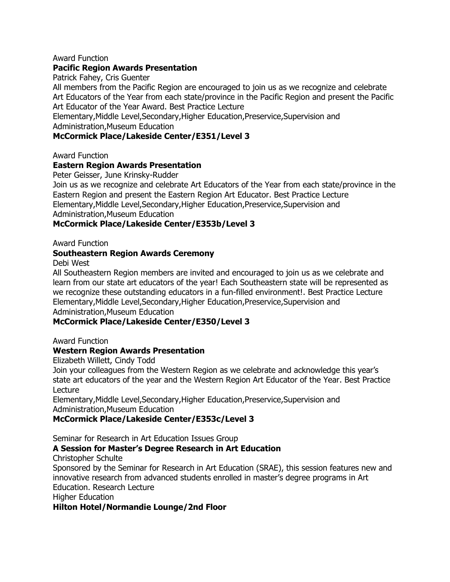#### Award Function

### **Pacific Region Awards Presentation**

Patrick Fahey, Cris Guenter

All members from the Pacific Region are encouraged to join us as we recognize and celebrate Art Educators of the Year from each state/province in the Pacific Region and present the Pacific Art Educator of the Year Award. Best Practice Lecture

Elementary,Middle Level,Secondary,Higher Education,Preservice,Supervision and Administration,Museum Education

### **McCormick Place/Lakeside Center/E351/Level 3**

Award Function

#### **Eastern Region Awards Presentation**

Peter Geisser, June Krinsky-Rudder

Join us as we recognize and celebrate Art Educators of the Year from each state/province in the Eastern Region and present the Eastern Region Art Educator. Best Practice Lecture Elementary,Middle Level,Secondary,Higher Education,Preservice,Supervision and Administration,Museum Education

### **McCormick Place/Lakeside Center/E353b/Level 3**

Award Function

### **Southeastern Region Awards Ceremony**

Debi West

All Southeastern Region members are invited and encouraged to join us as we celebrate and learn from our state art educators of the year! Each Southeastern state will be represented as we recognize these outstanding educators in a fun-filled environment!. Best Practice Lecture Elementary,Middle Level,Secondary,Higher Education,Preservice,Supervision and Administration,Museum Education

### **McCormick Place/Lakeside Center/E350/Level 3**

Award Function

#### **Western Region Awards Presentation**

Elizabeth Willett, Cindy Todd

Join your colleagues from the Western Region as we celebrate and acknowledge this year's state art educators of the year and the Western Region Art Educator of the Year. Best Practice Lecture

Elementary,Middle Level,Secondary,Higher Education,Preservice,Supervision and Administration,Museum Education

### **McCormick Place/Lakeside Center/E353c/Level 3**

Seminar for Research in Art Education Issues Group

### **A Session for Master's Degree Research in Art Education**

Christopher Schulte

Sponsored by the Seminar for Research in Art Education (SRAE), this session features new and innovative research from advanced students enrolled in master's degree programs in Art Education. Research Lecture

Higher Education

#### **Hilton Hotel/Normandie Lounge/2nd Floor**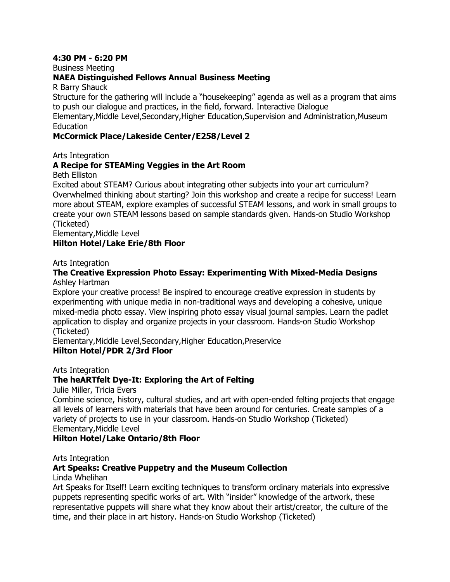### **4:30 PM - 6:20 PM**

Business Meeting

### **NAEA Distinguished Fellows Annual Business Meeting**

R Barry Shauck

Structure for the gathering will include a "housekeeping" agenda as well as a program that aims to push our dialogue and practices, in the field, forward. Interactive Dialogue

Elementary,Middle Level,Secondary,Higher Education,Supervision and Administration,Museum Education

### **McCormick Place/Lakeside Center/E258/Level 2**

Arts Integration

### **A Recipe for STEAMing Veggies in the Art Room**

Beth Elliston

Excited about STEAM? Curious about integrating other subjects into your art curriculum? Overwhelmed thinking about starting? Join this workshop and create a recipe for success! Learn more about STEAM, explore examples of successful STEAM lessons, and work in small groups to create your own STEAM lessons based on sample standards given. Hands-on Studio Workshop (Ticketed)

Elementary,Middle Level

#### **Hilton Hotel/Lake Erie/8th Floor**

Arts Integration

#### **The Creative Expression Photo Essay: Experimenting With Mixed-Media Designs** Ashley Hartman

Explore your creative process! Be inspired to encourage creative expression in students by experimenting with unique media in non-traditional ways and developing a cohesive, unique mixed-media photo essay. View inspiring photo essay visual journal samples. Learn the padlet application to display and organize projects in your classroom. Hands-on Studio Workshop (Ticketed)

Elementary,Middle Level,Secondary,Higher Education,Preservice **Hilton Hotel/PDR 2/3rd Floor**

Arts Integration

### **The heARTfelt Dye-It: Exploring the Art of Felting**

Julie Miller, Tricia Evers

Combine science, history, cultural studies, and art with open-ended felting projects that engage all levels of learners with materials that have been around for centuries. Create samples of a variety of projects to use in your classroom. Hands-on Studio Workshop (Ticketed) Elementary,Middle Level

#### **Hilton Hotel/Lake Ontario/8th Floor**

#### Arts Integration

#### **Art Speaks: Creative Puppetry and the Museum Collection**

Linda Whelihan

Art Speaks for Itself! Learn exciting techniques to transform ordinary materials into expressive puppets representing specific works of art. With "insider" knowledge of the artwork, these representative puppets will share what they know about their artist/creator, the culture of the time, and their place in art history. Hands-on Studio Workshop (Ticketed)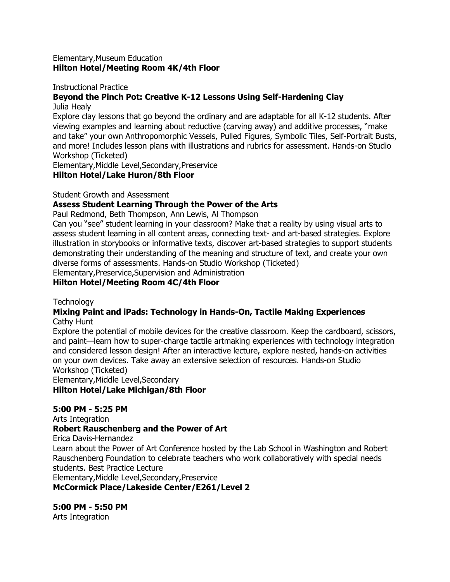#### Elementary,Museum Education **Hilton Hotel/Meeting Room 4K/4th Floor**

#### Instructional Practice

### **Beyond the Pinch Pot: Creative K-12 Lessons Using Self-Hardening Clay**

Julia Healy

Explore clay lessons that go beyond the ordinary and are adaptable for all K-12 students. After viewing examples and learning about reductive (carving away) and additive processes, "make and take" your own Anthropomorphic Vessels, Pulled Figures, Symbolic Tiles, Self-Portrait Busts, and more! Includes lesson plans with illustrations and rubrics for assessment. Hands-on Studio Workshop (Ticketed)

Elementary,Middle Level,Secondary,Preservice

#### **Hilton Hotel/Lake Huron/8th Floor**

Student Growth and Assessment

### **Assess Student Learning Through the Power of the Arts**

Paul Redmond, Beth Thompson, Ann Lewis, Al Thompson

Can you "see" student learning in your classroom? Make that a reality by using visual arts to assess student learning in all content areas, connecting text- and art-based strategies. Explore illustration in storybooks or informative texts, discover art-based strategies to support students demonstrating their understanding of the meaning and structure of text, and create your own diverse forms of assessments. Hands-on Studio Workshop (Ticketed)

Elementary,Preservice,Supervision and Administration

### **Hilton Hotel/Meeting Room 4C/4th Floor**

**Technology** 

#### **Mixing Paint and iPads: Technology in Hands-On, Tactile Making Experiences** Cathy Hunt

Explore the potential of mobile devices for the creative classroom. Keep the cardboard, scissors, and paint—learn how to super-charge tactile artmaking experiences with technology integration and considered lesson design! After an interactive lecture, explore nested, hands-on activities on your own devices. Take away an extensive selection of resources. Hands-on Studio Workshop (Ticketed)

Elementary,Middle Level,Secondary **Hilton Hotel/Lake Michigan/8th Floor**

### **5:00 PM - 5:25 PM**

Arts Integration **Robert Rauschenberg and the Power of Art** Erica Davis-Hernandez Learn about the Power of Art Conference hosted by the Lab School in Washington and Robert Rauschenberg Foundation to celebrate teachers who work collaboratively with special needs students. Best Practice Lecture Elementary,Middle Level,Secondary,Preservice

**McCormick Place/Lakeside Center/E261/Level 2**

**5:00 PM - 5:50 PM** Arts Integration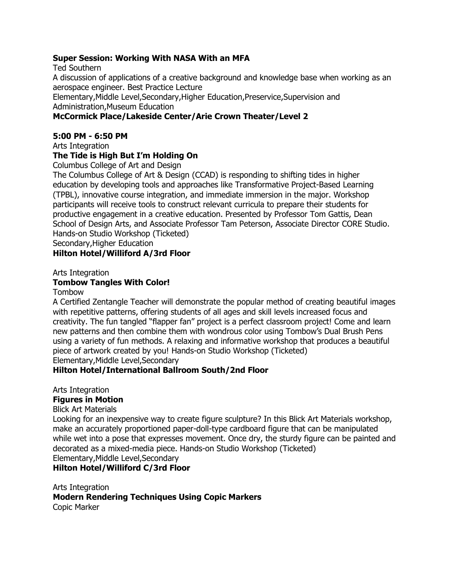### **Super Session: Working With NASA With an MFA**

Ted Southern A discussion of applications of a creative background and knowledge base when working as an aerospace engineer. Best Practice Lecture Elementary,Middle Level,Secondary,Higher Education,Preservice,Supervision and Administration,Museum Education **McCormick Place/Lakeside Center/Arie Crown Theater/Level 2**

## **5:00 PM - 6:50 PM**

Arts Integration

### **The Tide is High But I'm Holding On**

Columbus College of Art and Design

The Columbus College of Art & Design (CCAD) is responding to shifting tides in higher education by developing tools and approaches like Transformative Project-Based Learning (TPBL), innovative course integration, and immediate immersion in the major. Workshop participants will receive tools to construct relevant curricula to prepare their students for productive engagement in a creative education. Presented by Professor Tom Gattis, Dean School of Design Arts, and Associate Professor Tam Peterson, Associate Director CORE Studio. Hands-on Studio Workshop (Ticketed)

Secondary,Higher Education

### **Hilton Hotel/Williford A/3rd Floor**

Arts Integration

### **Tombow Tangles With Color!**

Tombow

A Certified Zentangle Teacher will demonstrate the popular method of creating beautiful images with repetitive patterns, offering students of all ages and skill levels increased focus and creativity. The fun tangled "flapper fan" project is a perfect classroom project! Come and learn new patterns and then combine them with wondrous color using Tombow's Dual Brush Pens using a variety of fun methods. A relaxing and informative workshop that produces a beautiful piece of artwork created by you! Hands-on Studio Workshop (Ticketed) Elementary,Middle Level,Secondary

### **Hilton Hotel/International Ballroom South/2nd Floor**

Arts Integration

#### **Figures in Motion**

Blick Art Materials

Looking for an inexpensive way to create figure sculpture? In this Blick Art Materials workshop, make an accurately proportioned paper-doll-type cardboard figure that can be manipulated while wet into a pose that expresses movement. Once dry, the sturdy figure can be painted and decorated as a mixed-media piece. Hands-on Studio Workshop (Ticketed) Elementary,Middle Level,Secondary

**Hilton Hotel/Williford C/3rd Floor**

Arts Integration **Modern Rendering Techniques Using Copic Markers** Copic Marker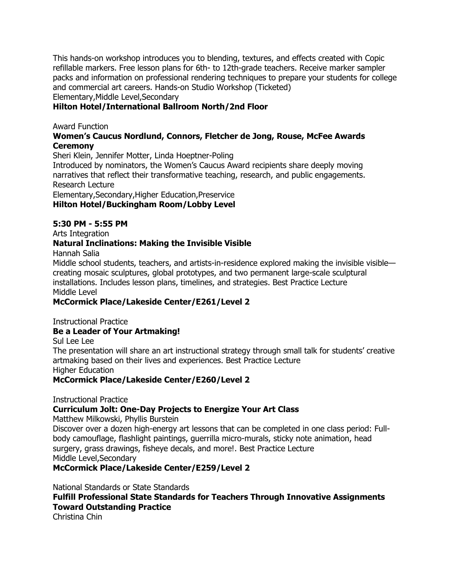This hands-on workshop introduces you to blending, textures, and effects created with Copic refillable markers. Free lesson plans for 6th- to 12th-grade teachers. Receive marker sampler packs and information on professional rendering techniques to prepare your students for college and commercial art careers. Hands-on Studio Workshop (Ticketed) Elementary,Middle Level,Secondary

### **Hilton Hotel/International Ballroom North/2nd Floor**

### Award Function

### **Women's Caucus Nordlund, Connors, Fletcher de Jong, Rouse, McFee Awards Ceremony**

Sheri Klein, Jennifer Motter, Linda Hoeptner-Poling

Introduced by nominators, the Women's Caucus Award recipients share deeply moving narratives that reflect their transformative teaching, research, and public engagements. Research Lecture

Elementary,Secondary,Higher Education,Preservice

### **Hilton Hotel/Buckingham Room/Lobby Level**

### **5:30 PM - 5:55 PM**

Arts Integration

### **Natural Inclinations: Making the Invisible Visible**

Hannah Salia

Middle school students, teachers, and artists-in-residence explored making the invisible visible creating mosaic sculptures, global prototypes, and two permanent large-scale sculptural installations. Includes lesson plans, timelines, and strategies. Best Practice Lecture Middle Level

### **McCormick Place/Lakeside Center/E261/Level 2**

Instructional Practice

## **Be a Leader of Your Artmaking!**

Sul Lee Lee

The presentation will share an art instructional strategy through small talk for students' creative artmaking based on their lives and experiences. Best Practice Lecture Higher Education

### **McCormick Place/Lakeside Center/E260/Level 2**

Instructional Practice

## **Curriculum Jolt: One-Day Projects to Energize Your Art Class**

Matthew Milkowski, Phyllis Burstein

Discover over a dozen high-energy art lessons that can be completed in one class period: Fullbody camouflage, flashlight paintings, guerrilla micro-murals, sticky note animation, head surgery, grass drawings, fisheye decals, and more!. Best Practice Lecture Middle Level,Secondary

### **McCormick Place/Lakeside Center/E259/Level 2**

National Standards or State Standards **Fulfill Professional State Standards for Teachers Through Innovative Assignments Toward Outstanding Practice** Christina Chin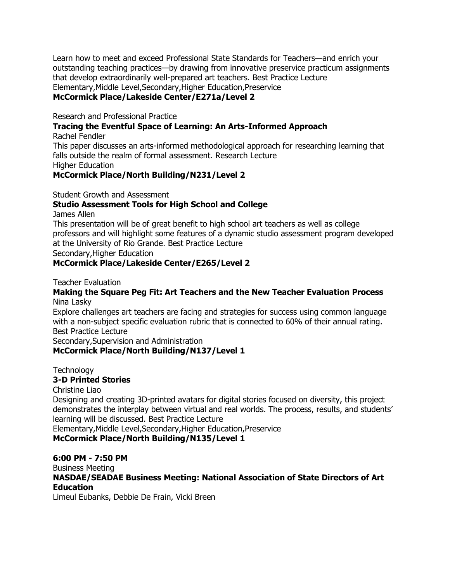Learn how to meet and exceed Professional State Standards for Teachers—and enrich your outstanding teaching practices—by drawing from innovative preservice practicum assignments that develop extraordinarily well-prepared art teachers. Best Practice Lecture Elementary,Middle Level,Secondary,Higher Education,Preservice **McCormick Place/Lakeside Center/E271a/Level 2**

Research and Professional Practice

**Tracing the Eventful Space of Learning: An Arts-Informed Approach**

Rachel Fendler

This paper discusses an arts-informed methodological approach for researching learning that falls outside the realm of formal assessment. Research Lecture Higher Education

### **McCormick Place/North Building/N231/Level 2**

Student Growth and Assessment

## **Studio Assessment Tools for High School and College**

James Allen

This presentation will be of great benefit to high school art teachers as well as college professors and will highlight some features of a dynamic studio assessment program developed at the University of Rio Grande. Best Practice Lecture

Secondary,Higher Education

### **McCormick Place/Lakeside Center/E265/Level 2**

Teacher Evaluation

#### **Making the Square Peg Fit: Art Teachers and the New Teacher Evaluation Process** Nina Lasky

Explore challenges art teachers are facing and strategies for success using common language with a non-subject specific evaluation rubric that is connected to 60% of their annual rating. Best Practice Lecture

Secondary,Supervision and Administration

### **McCormick Place/North Building/N137/Level 1**

**Technology** 

### **3-D Printed Stories**

Christine Liao

Designing and creating 3D-printed avatars for digital stories focused on diversity, this project demonstrates the interplay between virtual and real worlds. The process, results, and students' learning will be discussed. Best Practice Lecture

Elementary,Middle Level,Secondary,Higher Education,Preservice

**McCormick Place/North Building/N135/Level 1**

#### **6:00 PM - 7:50 PM**

Business Meeting

**NASDAE/SEADAE Business Meeting: National Association of State Directors of Art Education**

Limeul Eubanks, Debbie De Frain, Vicki Breen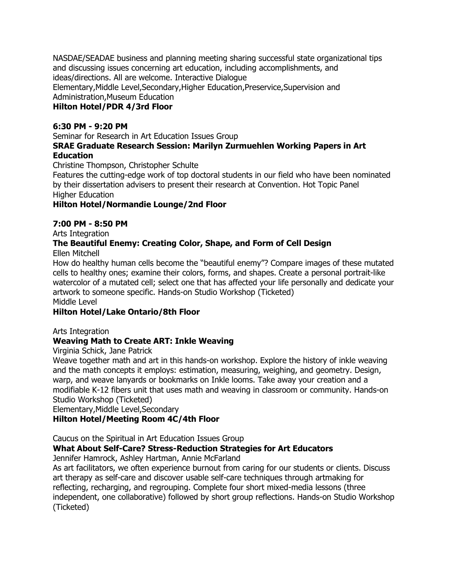NASDAE/SEADAE business and planning meeting sharing successful state organizational tips and discussing issues concerning art education, including accomplishments, and ideas/directions. All are welcome. Interactive Dialogue Elementary,Middle Level,Secondary,Higher Education,Preservice,Supervision and Administration,Museum Education

### **Hilton Hotel/PDR 4/3rd Floor**

### **6:30 PM - 9:20 PM**

Seminar for Research in Art Education Issues Group

### **SRAE Graduate Research Session: Marilyn Zurmuehlen Working Papers in Art Education**

Christine Thompson, Christopher Schulte

Features the cutting-edge work of top doctoral students in our field who have been nominated by their dissertation advisers to present their research at Convention. Hot Topic Panel Higher Education

### **Hilton Hotel/Normandie Lounge/2nd Floor**

### **7:00 PM - 8:50 PM**

Arts Integration

## **The Beautiful Enemy: Creating Color, Shape, and Form of Cell Design**

Ellen Mitchell

How do healthy human cells become the "beautiful enemy"? Compare images of these mutated cells to healthy ones; examine their colors, forms, and shapes. Create a personal portrait-like watercolor of a mutated cell; select one that has affected your life personally and dedicate your artwork to someone specific. Hands-on Studio Workshop (Ticketed) Middle Level

## **Hilton Hotel/Lake Ontario/8th Floor**

Arts Integration

### **Weaving Math to Create ART: Inkle Weaving**

Virginia Schick, Jane Patrick

Weave together math and art in this hands-on workshop. Explore the history of inkle weaving and the math concepts it employs: estimation, measuring, weighing, and geometry. Design, warp, and weave lanyards or bookmarks on Inkle looms. Take away your creation and a modifiable K-12 fibers unit that uses math and weaving in classroom or community. Hands-on Studio Workshop (Ticketed)

Elementary,Middle Level,Secondary

### **Hilton Hotel/Meeting Room 4C/4th Floor**

Caucus on the Spiritual in Art Education Issues Group

### **What About Self-Care? Stress-Reduction Strategies for Art Educators**

Jennifer Hamrock, Ashley Hartman, Annie McFarland

As art facilitators, we often experience burnout from caring for our students or clients. Discuss art therapy as self-care and discover usable self-care techniques through artmaking for reflecting, recharging, and regrouping. Complete four short mixed-media lessons (three independent, one collaborative) followed by short group reflections. Hands-on Studio Workshop (Ticketed)